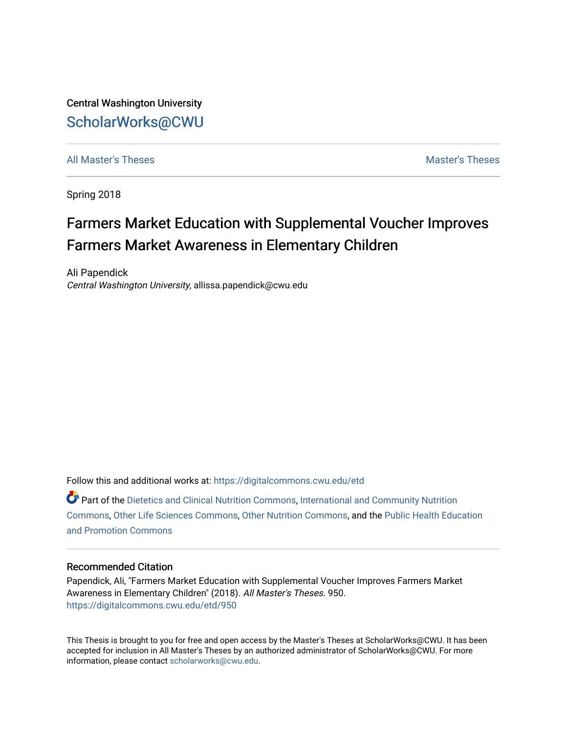Central Washington University [ScholarWorks@CWU](https://digitalcommons.cwu.edu/) 

[All Master's Theses](https://digitalcommons.cwu.edu/etd) and the set of the set of the set of the set of the set of the set of the set of the set of the set of the set of the set of the set of the set of the set of the set of the set of the set of the set of

Spring 2018

# Farmers Market Education with Supplemental Voucher Improves Farmers Market Awareness in Elementary Children

Ali Papendick Central Washington University, allissa.papendick@cwu.edu

Follow this and additional works at: [https://digitalcommons.cwu.edu/etd](https://digitalcommons.cwu.edu/etd?utm_source=digitalcommons.cwu.edu%2Fetd%2F950&utm_medium=PDF&utm_campaign=PDFCoverPages) 

Part of the [Dietetics and Clinical Nutrition Commons,](http://network.bepress.com/hgg/discipline/662?utm_source=digitalcommons.cwu.edu%2Fetd%2F950&utm_medium=PDF&utm_campaign=PDFCoverPages) [International and Community Nutrition](http://network.bepress.com/hgg/discipline/98?utm_source=digitalcommons.cwu.edu%2Fetd%2F950&utm_medium=PDF&utm_campaign=PDFCoverPages)  [Commons](http://network.bepress.com/hgg/discipline/98?utm_source=digitalcommons.cwu.edu%2Fetd%2F950&utm_medium=PDF&utm_campaign=PDFCoverPages), [Other Life Sciences Commons,](http://network.bepress.com/hgg/discipline/113?utm_source=digitalcommons.cwu.edu%2Fetd%2F950&utm_medium=PDF&utm_campaign=PDFCoverPages) [Other Nutrition Commons](http://network.bepress.com/hgg/discipline/101?utm_source=digitalcommons.cwu.edu%2Fetd%2F950&utm_medium=PDF&utm_campaign=PDFCoverPages), and the [Public Health Education](http://network.bepress.com/hgg/discipline/743?utm_source=digitalcommons.cwu.edu%2Fetd%2F950&utm_medium=PDF&utm_campaign=PDFCoverPages) [and Promotion Commons](http://network.bepress.com/hgg/discipline/743?utm_source=digitalcommons.cwu.edu%2Fetd%2F950&utm_medium=PDF&utm_campaign=PDFCoverPages)

# Recommended Citation

Papendick, Ali, "Farmers Market Education with Supplemental Voucher Improves Farmers Market Awareness in Elementary Children" (2018). All Master's Theses. 950. [https://digitalcommons.cwu.edu/etd/950](https://digitalcommons.cwu.edu/etd/950?utm_source=digitalcommons.cwu.edu%2Fetd%2F950&utm_medium=PDF&utm_campaign=PDFCoverPages) 

This Thesis is brought to you for free and open access by the Master's Theses at ScholarWorks@CWU. It has been accepted for inclusion in All Master's Theses by an authorized administrator of ScholarWorks@CWU. For more information, please contact [scholarworks@cwu.edu.](mailto:scholarworks@cwu.edu)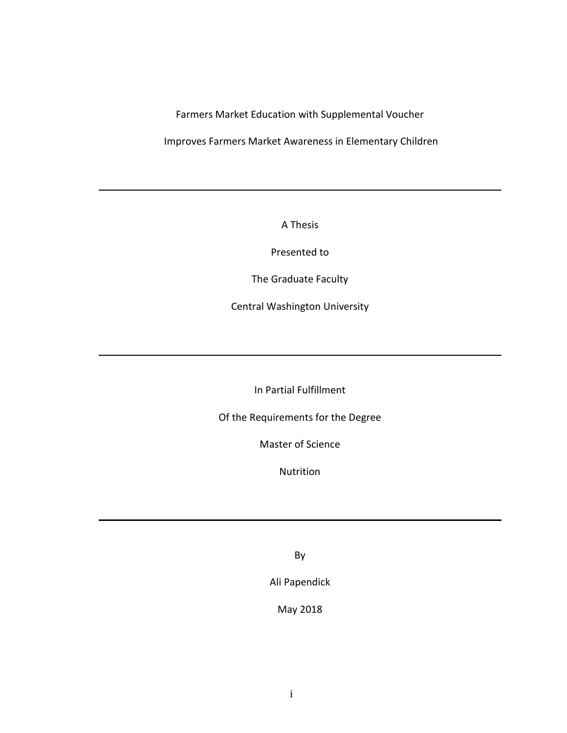Farmers Market Education with Supplemental Voucher

Improves Farmers Market Awareness in Elementary Children

A Thesis

Presented to

The Graduate Faculty

Central Washington University

In Partial Fulfillment

Of the Requirements for the Degree

Master of Science

Nutrition

By

Ali Papendick

May 2018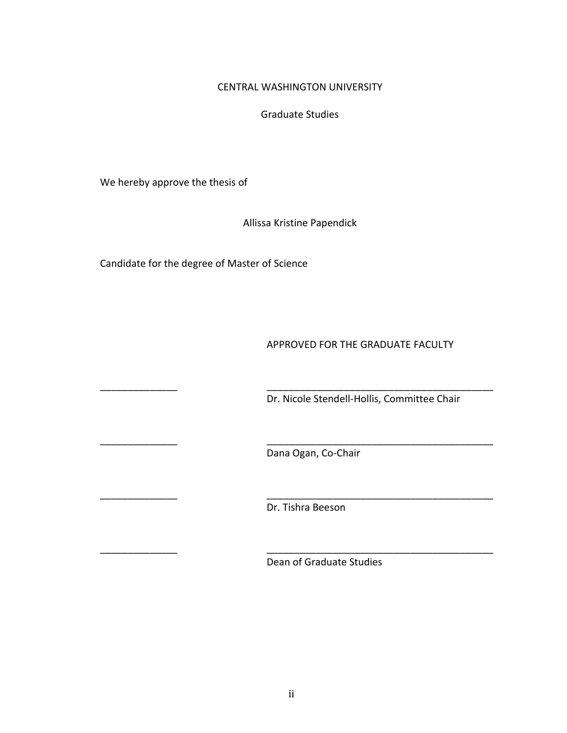# CENTRAL WASHINGTON UNIVERSITY

# Graduate Studies

We hereby approve the thesis of

Allissa Kristine Papendick

Candidate for the degree of Master of Science

APPROVED FOR THE GRADUATE FACULTY

Dr. Nicole Stendell-Hollis, Committee Chair

Dana Ogan, Co-Chair

\_\_\_\_\_\_\_\_\_\_\_\_\_\_ \_\_\_\_\_\_\_\_\_\_\_\_\_\_\_\_\_\_\_\_\_\_\_\_\_\_\_\_\_\_\_\_\_\_\_\_\_\_\_\_\_

\_\_\_\_\_\_\_\_\_\_\_\_\_\_ \_\_\_\_\_\_\_\_\_\_\_\_\_\_\_\_\_\_\_\_\_\_\_\_\_\_\_\_\_\_\_\_\_\_\_\_\_\_\_\_\_

\_\_\_\_\_\_\_\_\_\_\_\_\_\_ \_\_\_\_\_\_\_\_\_\_\_\_\_\_\_\_\_\_\_\_\_\_\_\_\_\_\_\_\_\_\_\_\_\_\_\_\_\_\_\_\_

\_\_\_\_\_\_\_\_\_\_\_\_\_\_ \_\_\_\_\_\_\_\_\_\_\_\_\_\_\_\_\_\_\_\_\_\_\_\_\_\_\_\_\_\_\_\_\_\_\_\_\_\_\_\_\_

Dr. Tishra Beeson

Dean of Graduate Studies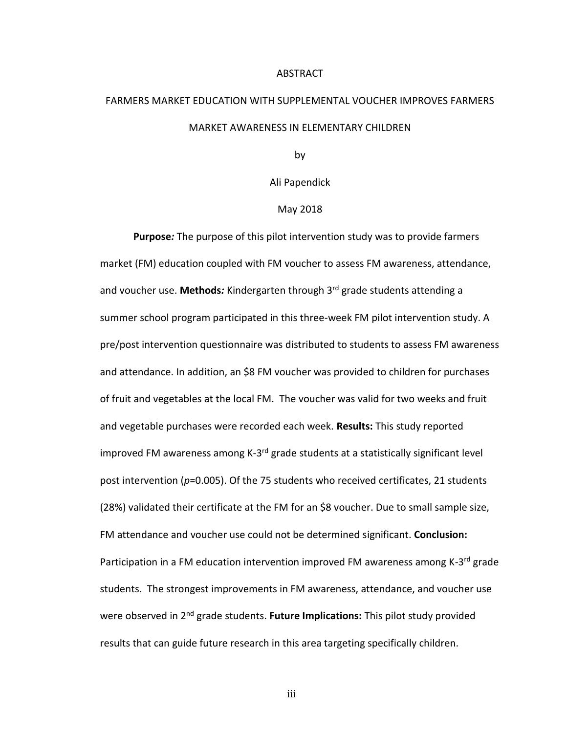#### ABSTRACT

# FARMERS MARKET EDUCATION WITH SUPPLEMENTAL VOUCHER IMPROVES FARMERS MARKET AWARENESS IN ELEMENTARY CHILDREN

by

Ali Papendick

## May 2018

**Purpose***:* The purpose of this pilot intervention study was to provide farmers market (FM) education coupled with FM voucher to assess FM awareness, attendance, and voucher use. **Methods***:* Kindergarten through 3rd grade students attending a summer school program participated in this three-week FM pilot intervention study. A pre/post intervention questionnaire was distributed to students to assess FM awareness and attendance. In addition, an \$8 FM voucher was provided to children for purchases of fruit and vegetables at the local FM. The voucher was valid for two weeks and fruit and vegetable purchases were recorded each week. **Results:** This study reported improved FM awareness among K-3<sup>rd</sup> grade students at a statistically significant level post intervention (*p*=0.005). Of the 75 students who received certificates, 21 students (28%) validated their certificate at the FM for an \$8 voucher. Due to small sample size, FM attendance and voucher use could not be determined significant. **Conclusion:** Participation in a FM education intervention improved FM awareness among K-3<sup>rd</sup> grade students. The strongest improvements in FM awareness, attendance, and voucher use were observed in 2nd grade students. **Future Implications:** This pilot study provided results that can guide future research in this area targeting specifically children.

iii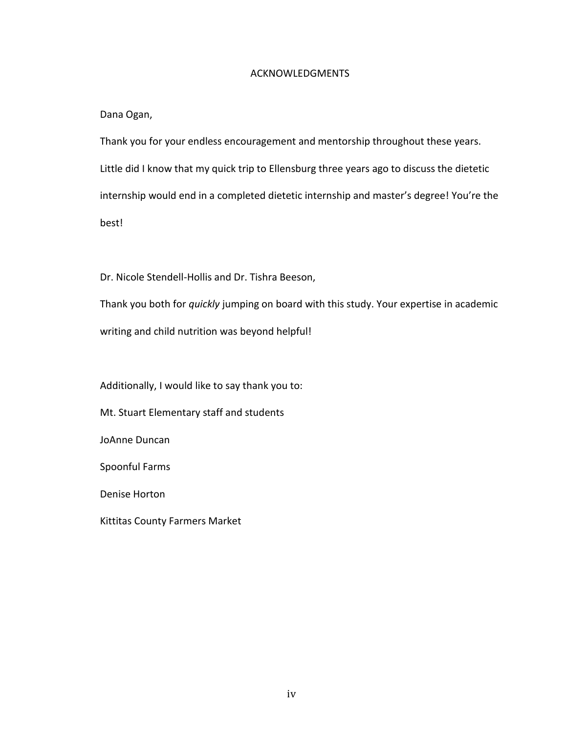# ACKNOWLEDGMENTS

Dana Ogan,

Thank you for your endless encouragement and mentorship throughout these years. Little did I know that my quick trip to Ellensburg three years ago to discuss the dietetic internship would end in a completed dietetic internship and master's degree! You're the best!

Dr. Nicole Stendell-Hollis and Dr. Tishra Beeson,

Thank you both for *quickly* jumping on board with this study. Your expertise in academic writing and child nutrition was beyond helpful!

Additionally, I would like to say thank you to:

Mt. Stuart Elementary staff and students

JoAnne Duncan

Spoonful Farms

Denise Horton

Kittitas County Farmers Market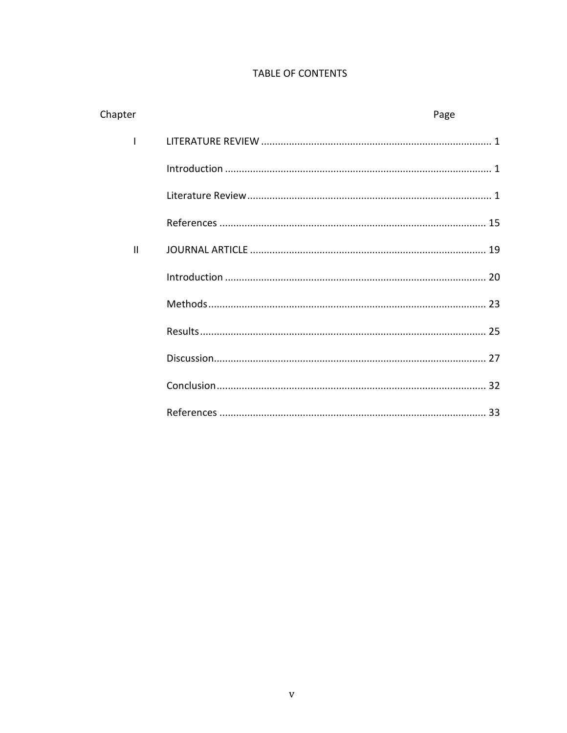# TABLE OF CONTENTS

| Chapter      | Page |  |
|--------------|------|--|
|              |      |  |
|              |      |  |
|              |      |  |
|              |      |  |
| $\mathbf{H}$ |      |  |
|              |      |  |
|              |      |  |
|              |      |  |
|              |      |  |
|              |      |  |
|              |      |  |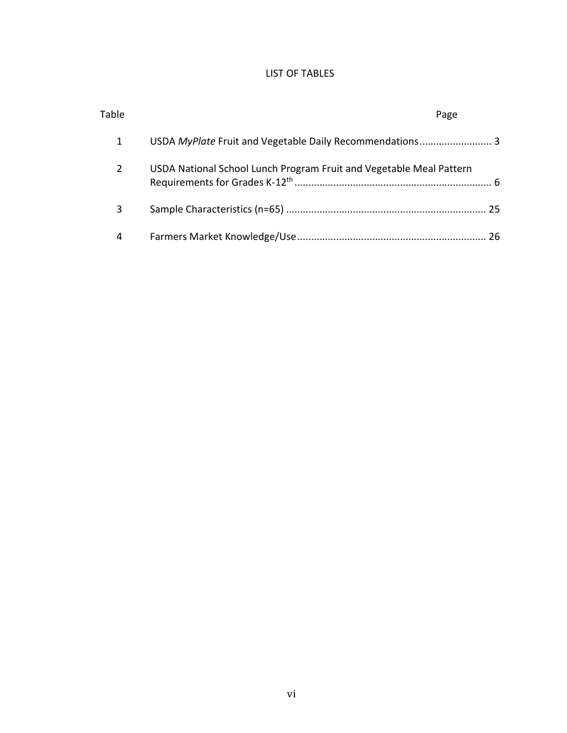# LIST OF TABLES

| Table | Page                                                                |  |
|-------|---------------------------------------------------------------------|--|
| 1     | USDA MyPlate Fruit and Vegetable Daily Recommendations 3            |  |
| 2     | USDA National School Lunch Program Fruit and Vegetable Meal Pattern |  |
| 3     |                                                                     |  |
| 4     |                                                                     |  |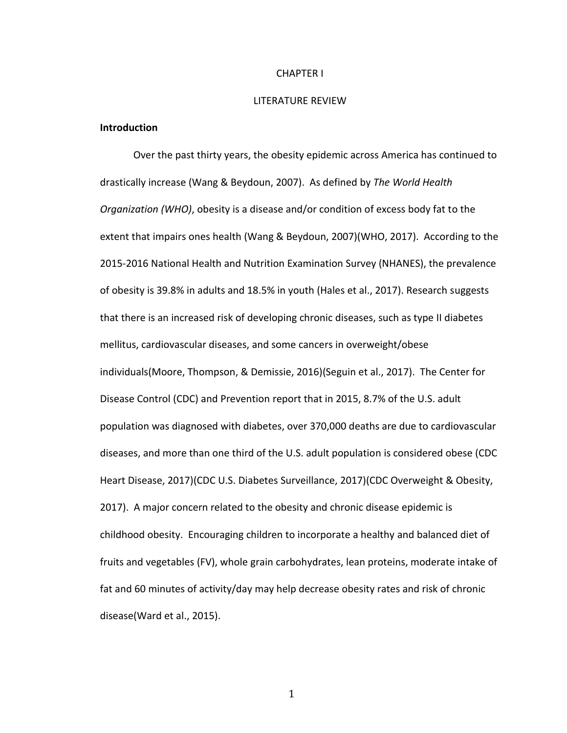#### CHAPTER I

#### LITERATURE REVIEW

## **Introduction**

Over the past thirty years, the obesity epidemic across America has continued to drastically increase (Wang & Beydoun, 2007). As defined by *The World Health Organization (WHO)*, obesity is a disease and/or condition of excess body fat to the extent that impairs ones health (Wang & Beydoun, 2007)(WHO, 2017). According to the 2015-2016 National Health and Nutrition Examination Survey (NHANES), the prevalence of obesity is 39.8% in adults and 18.5% in youth (Hales et al., 2017). Research suggests that there is an increased risk of developing chronic diseases, such as type II diabetes mellitus, cardiovascular diseases, and some cancers in overweight/obese individuals(Moore, Thompson, & Demissie, 2016)(Seguin et al., 2017). The Center for Disease Control (CDC) and Prevention report that in 2015, 8.7% of the U.S. adult population was diagnosed with diabetes, over 370,000 deaths are due to cardiovascular diseases, and more than one third of the U.S. adult population is considered obese (CDC Heart Disease, 2017)(CDC U.S. Diabetes Surveillance, 2017)(CDC Overweight & Obesity, 2017). A major concern related to the obesity and chronic disease epidemic is childhood obesity. Encouraging children to incorporate a healthy and balanced diet of fruits and vegetables (FV), whole grain carbohydrates, lean proteins, moderate intake of fat and 60 minutes of activity/day may help decrease obesity rates and risk of chronic disease(Ward et al., 2015).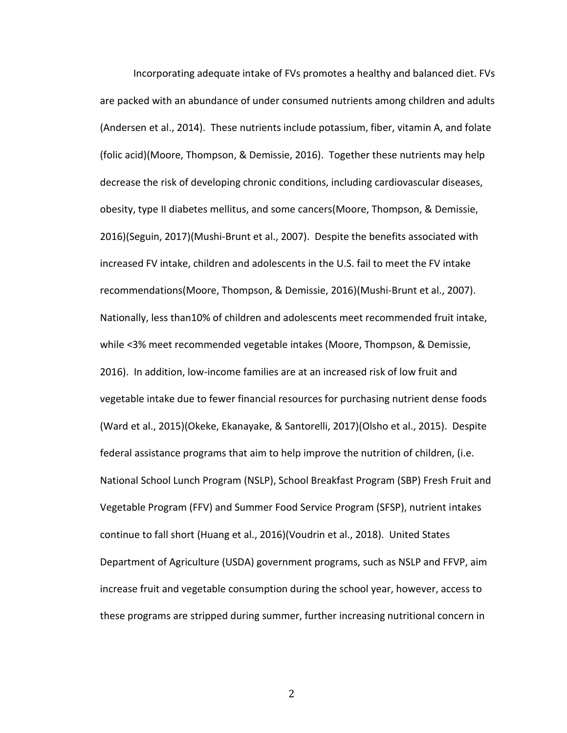Incorporating adequate intake of FVs promotes a healthy and balanced diet. FVs are packed with an abundance of under consumed nutrients among children and adults (Andersen et al., 2014). These nutrients include potassium, fiber, vitamin A, and folate (folic acid)(Moore, Thompson, & Demissie, 2016). Together these nutrients may help decrease the risk of developing chronic conditions, including cardiovascular diseases, obesity, type II diabetes mellitus, and some cancers(Moore, Thompson, & Demissie, 2016)(Seguin, 2017)(Mushi-Brunt et al., 2007). Despite the benefits associated with increased FV intake, children and adolescents in the U.S. fail to meet the FV intake recommendations(Moore, Thompson, & Demissie, 2016)(Mushi-Brunt et al., 2007). Nationally, less than10% of children and adolescents meet recommended fruit intake, while <3% meet recommended vegetable intakes (Moore, Thompson, & Demissie, 2016). In addition, low-income families are at an increased risk of low fruit and vegetable intake due to fewer financial resources for purchasing nutrient dense foods (Ward et al., 2015)(Okeke, Ekanayake, & Santorelli, 2017)(Olsho et al., 2015). Despite federal assistance programs that aim to help improve the nutrition of children, (i.e. National School Lunch Program (NSLP), School Breakfast Program (SBP) Fresh Fruit and Vegetable Program (FFV) and Summer Food Service Program (SFSP), nutrient intakes continue to fall short (Huang et al., 2016)(Voudrin et al., 2018). United States Department of Agriculture (USDA) government programs, such as NSLP and FFVP, aim increase fruit and vegetable consumption during the school year, however, access to these programs are stripped during summer, further increasing nutritional concern in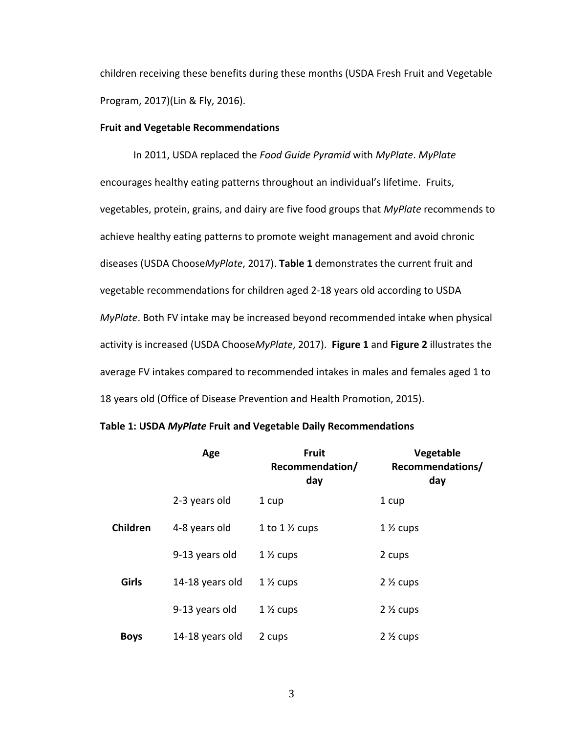children receiving these benefits during these months (USDA Fresh Fruit and Vegetable Program, 2017)(Lin & Fly, 2016).

## **Fruit and Vegetable Recommendations**

In 2011, USDA replaced the *Food Guide Pyramid* with *MyPlate*. *MyPlate* encourages healthy eating patterns throughout an individual's lifetime. Fruits, vegetables, protein, grains, and dairy are five food groups that *MyPlate* recommends to achieve healthy eating patterns to promote weight management and avoid chronic diseases (USDA Choose*MyPlate*, 2017). **Table 1** demonstrates the current fruit and vegetable recommendations for children aged 2-18 years old according to USDA *MyPlate*. Both FV intake may be increased beyond recommended intake when physical activity is increased (USDA Choose*MyPlate*, 2017). **Figure 1** and **Figure 2** illustrates the average FV intakes compared to recommended intakes in males and females aged 1 to 18 years old (Office of Disease Prevention and Health Promotion, 2015).

|                 | Age             | <b>Fruit</b><br>Recommendation/<br>day | Vegetable<br>Recommendations/<br>day |
|-----------------|-----------------|----------------------------------------|--------------------------------------|
|                 | 2-3 years old   | 1 cup                                  | 1 cup                                |
| <b>Children</b> | 4-8 years old   | 1 to $1\frac{1}{2}$ cups               | $1\frac{1}{2}$ cups                  |
|                 | 9-13 years old  | $1\frac{1}{2}$ cups                    | 2 cups                               |
| Girls           | 14-18 years old | $1\frac{1}{2}$ cups                    | $2\frac{1}{2}$ cups                  |
|                 | 9-13 years old  | $1\frac{1}{2}$ cups                    | $2\frac{1}{2}$ cups                  |
| <b>Boys</b>     | 14-18 years old | 2 cups                                 | $2\frac{1}{2}$ cups                  |

## **Table 1: USDA** *MyPlate* **Fruit and Vegetable Daily Recommendations**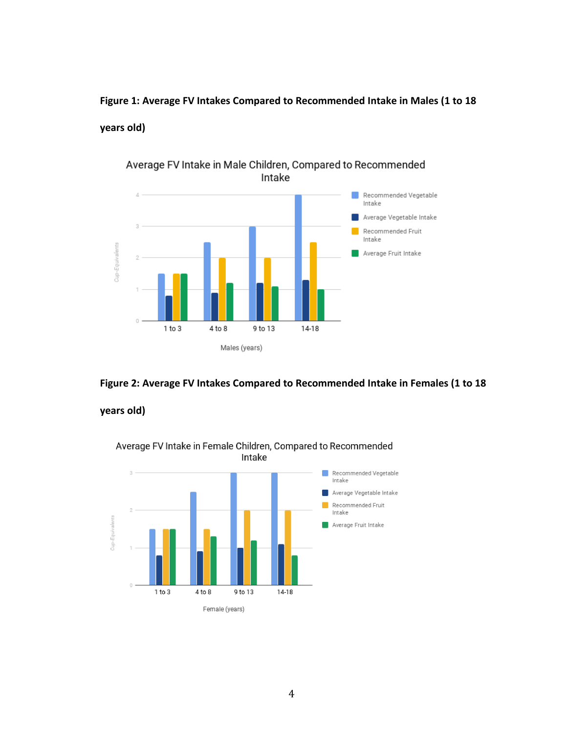**Figure 1: Average FV Intakes Compared to Recommended Intake in Males (1 to 18** 

# **years old)**



# Average FV Intake in Male Children, Compared to Recommended Intake

**Figure 2: Average FV Intakes Compared to Recommended Intake in Females (1 to 18** 

# **years old)**

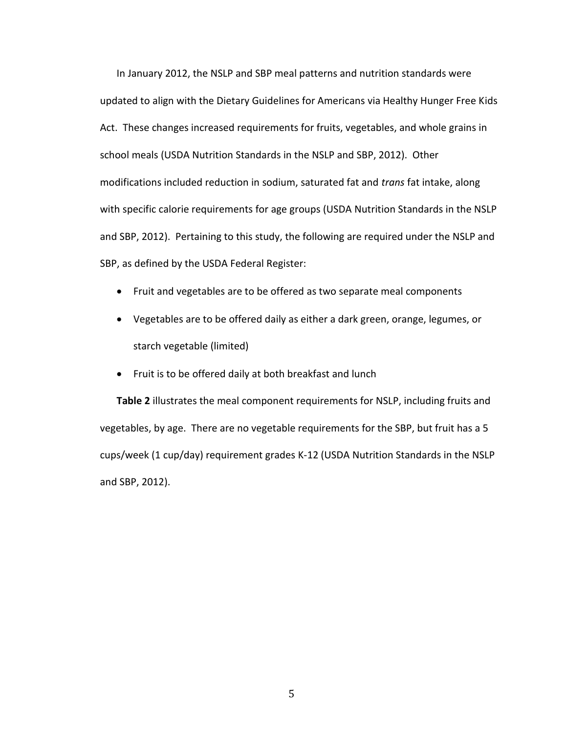In January 2012, the NSLP and SBP meal patterns and nutrition standards were updated to align with the Dietary Guidelines for Americans via Healthy Hunger Free Kids Act. These changes increased requirements for fruits, vegetables, and whole grains in school meals (USDA Nutrition Standards in the NSLP and SBP, 2012). Other modifications included reduction in sodium, saturated fat and *trans* fat intake, along with specific calorie requirements for age groups (USDA Nutrition Standards in the NSLP and SBP, 2012). Pertaining to this study, the following are required under the NSLP and SBP, as defined by the USDA Federal Register:

- Fruit and vegetables are to be offered as two separate meal components
- Vegetables are to be offered daily as either a dark green, orange, legumes, or starch vegetable (limited)
- Fruit is to be offered daily at both breakfast and lunch

**Table 2** illustrates the meal component requirements for NSLP, including fruits and vegetables, by age. There are no vegetable requirements for the SBP, but fruit has a 5 cups/week (1 cup/day) requirement grades K-12 (USDA Nutrition Standards in the NSLP and SBP, 2012).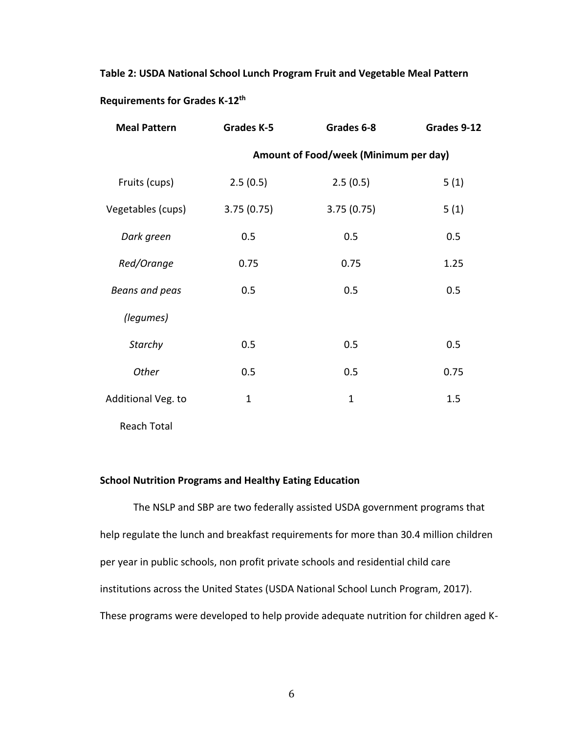# **Table 2: USDA National School Lunch Program Fruit and Vegetable Meal Pattern Requirements for Grades K-12th**

| <b>Meal Pattern</b> | <b>Grades K-5</b> | Grades 6-8                            | Grades 9-12 |
|---------------------|-------------------|---------------------------------------|-------------|
|                     |                   | Amount of Food/week (Minimum per day) |             |
| Fruits (cups)       | 2.5(0.5)          | 2.5(0.5)                              | 5(1)        |
| Vegetables (cups)   | 3.75(0.75)        | 3.75(0.75)                            | 5(1)        |
| Dark green          | 0.5               | 0.5                                   | 0.5         |
| Red/Orange          | 0.75              | 0.75                                  | 1.25        |
| Beans and peas      | 0.5               | 0.5                                   | 0.5         |
| (legumes)           |                   |                                       |             |
| Starchy             | 0.5               | 0.5                                   | 0.5         |
| Other               | 0.5               | 0.5                                   | 0.75        |
| Additional Veg. to  | $\mathbf 1$       | $\mathbf{1}$                          | 1.5         |
|                     |                   |                                       |             |

Reach Total

# **School Nutrition Programs and Healthy Eating Education**

The NSLP and SBP are two federally assisted USDA government programs that help regulate the lunch and breakfast requirements for more than 30.4 million children per year in public schools, non profit private schools and residential child care institutions across the United States (USDA National School Lunch Program, 2017). These programs were developed to help provide adequate nutrition for children aged K-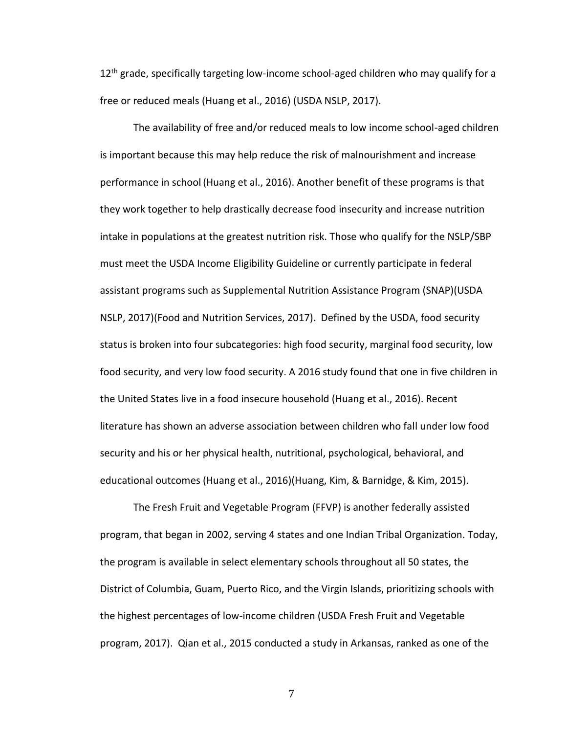$12<sup>th</sup>$  grade, specifically targeting low-income school-aged children who may qualify for a free or reduced meals (Huang et al., 2016) (USDA NSLP, 2017).

The availability of free and/or reduced meals to low income school-aged children is important because this may help reduce the risk of malnourishment and increase performance in school (Huang et al., 2016). Another benefit of these programs is that they work together to help drastically decrease food insecurity and increase nutrition intake in populations at the greatest nutrition risk. Those who qualify for the NSLP/SBP must meet the USDA Income Eligibility Guideline or currently participate in federal assistant programs such as Supplemental Nutrition Assistance Program (SNAP)(USDA NSLP, 2017)(Food and Nutrition Services, 2017). Defined by the USDA, food security status is broken into four subcategories: high food security, marginal food security, low food security, and very low food security. A 2016 study found that one in five children in the United States live in a food insecure household (Huang et al., 2016). Recent literature has shown an adverse association between children who fall under low food security and his or her physical health, nutritional, psychological, behavioral, and educational outcomes (Huang et al., 2016)(Huang, Kim, & Barnidge, & Kim, 2015).

The Fresh Fruit and Vegetable Program (FFVP) is another federally assisted program, that began in 2002, serving 4 states and one Indian Tribal Organization. Today, the program is available in select elementary schools throughout all 50 states, the District of Columbia, Guam, Puerto Rico, and the Virgin Islands, prioritizing schools with the highest percentages of low-income children (USDA Fresh Fruit and Vegetable program, 2017). Qian et al., 2015 conducted a study in Arkansas, ranked as one of the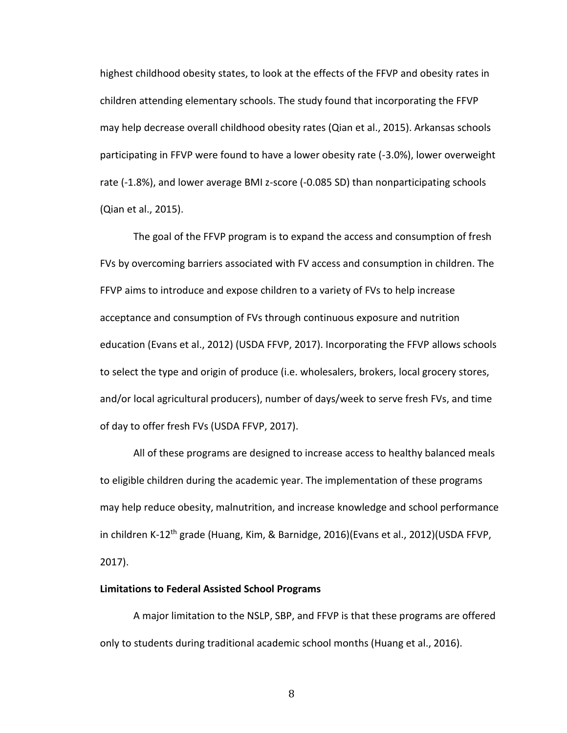highest childhood obesity states, to look at the effects of the FFVP and obesity rates in children attending elementary schools. The study found that incorporating the FFVP may help decrease overall childhood obesity rates (Qian et al., 2015). Arkansas schools participating in FFVP were found to have a lower obesity rate (-3.0%), lower overweight rate (-1.8%), and lower average BMI z-score (-0.085 SD) than nonparticipating schools (Qian et al., 2015).

The goal of the FFVP program is to expand the access and consumption of fresh FVs by overcoming barriers associated with FV access and consumption in children. The FFVP aims to introduce and expose children to a variety of FVs to help increase acceptance and consumption of FVs through continuous exposure and nutrition education (Evans et al., 2012) (USDA FFVP, 2017). Incorporating the FFVP allows schools to select the type and origin of produce (i.e. wholesalers, brokers, local grocery stores, and/or local agricultural producers), number of days/week to serve fresh FVs, and time of day to offer fresh FVs (USDA FFVP, 2017).

All of these programs are designed to increase access to healthy balanced meals to eligible children during the academic year. The implementation of these programs may help reduce obesity, malnutrition, and increase knowledge and school performance in children K-12<sup>th</sup> grade (Huang, Kim, & Barnidge, 2016)(Evans et al., 2012)(USDA FFVP, 2017).

### **Limitations to Federal Assisted School Programs**

A major limitation to the NSLP, SBP, and FFVP is that these programs are offered only to students during traditional academic school months (Huang et al., 2016).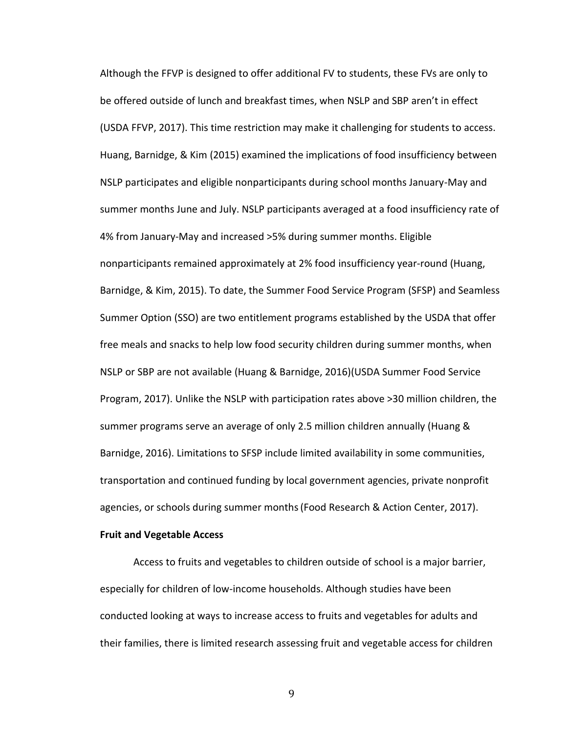Although the FFVP is designed to offer additional FV to students, these FVs are only to be offered outside of lunch and breakfast times, when NSLP and SBP aren't in effect (USDA FFVP, 2017). This time restriction may make it challenging for students to access. Huang, Barnidge, & Kim (2015) examined the implications of food insufficiency between NSLP participates and eligible nonparticipants during school months January-May and summer months June and July. NSLP participants averaged at a food insufficiency rate of 4% from January-May and increased >5% during summer months. Eligible nonparticipants remained approximately at 2% food insufficiency year-round (Huang, Barnidge, & Kim, 2015). To date, the Summer Food Service Program (SFSP) and Seamless Summer Option (SSO) are two entitlement programs established by the USDA that offer free meals and snacks to help low food security children during summer months, when NSLP or SBP are not available (Huang & Barnidge, 2016)(USDA Summer Food Service Program, 2017). Unlike the NSLP with participation rates above >30 million children, the summer programs serve an average of only 2.5 million children annually (Huang & Barnidge, 2016). Limitations to SFSP include limited availability in some communities, transportation and continued funding by local government agencies, private nonprofit agencies, or schools during summer months(Food Research & Action Center, 2017).

## **Fruit and Vegetable Access**

Access to fruits and vegetables to children outside of school is a major barrier, especially for children of low-income households. Although studies have been conducted looking at ways to increase access to fruits and vegetables for adults and their families, there is limited research assessing fruit and vegetable access for children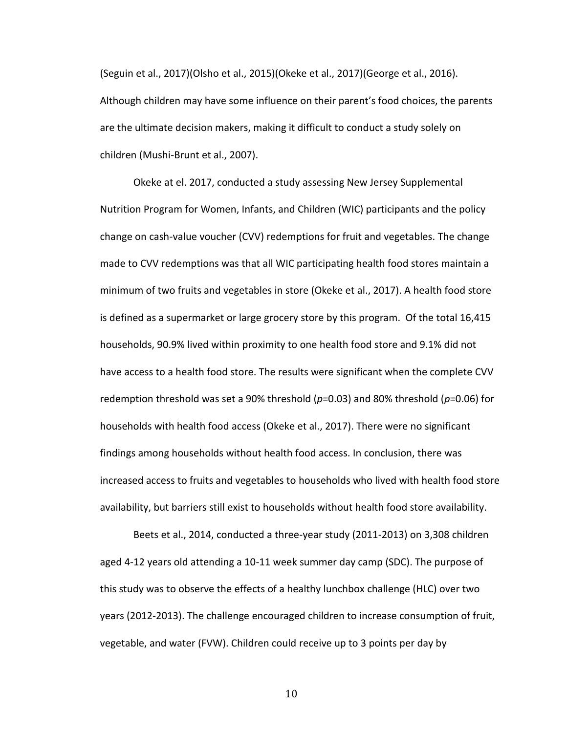(Seguin et al., 2017)(Olsho et al., 2015)(Okeke et al., 2017)(George et al., 2016). Although children may have some influence on their parent's food choices, the parents are the ultimate decision makers, making it difficult to conduct a study solely on children (Mushi-Brunt et al., 2007).

Okeke at el. 2017, conducted a study assessing New Jersey Supplemental Nutrition Program for Women, Infants, and Children (WIC) participants and the policy change on cash-value voucher (CVV) redemptions for fruit and vegetables. The change made to CVV redemptions was that all WIC participating health food stores maintain a minimum of two fruits and vegetables in store (Okeke et al., 2017). A health food store is defined as a supermarket or large grocery store by this program. Of the total 16,415 households, 90.9% lived within proximity to one health food store and 9.1% did not have access to a health food store. The results were significant when the complete CVV redemption threshold was set a 90% threshold (*p*=0.03) and 80% threshold (*p*=0.06) for households with health food access (Okeke et al., 2017). There were no significant findings among households without health food access. In conclusion, there was increased access to fruits and vegetables to households who lived with health food store availability, but barriers still exist to households without health food store availability.

Beets et al., 2014, conducted a three-year study (2011-2013) on 3,308 children aged 4-12 years old attending a 10-11 week summer day camp (SDC). The purpose of this study was to observe the effects of a healthy lunchbox challenge (HLC) over two years (2012-2013). The challenge encouraged children to increase consumption of fruit, vegetable, and water (FVW). Children could receive up to 3 points per day by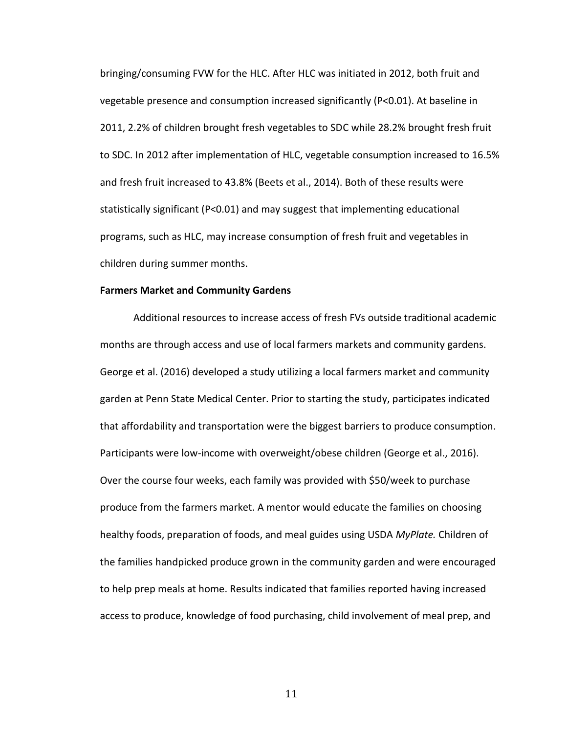bringing/consuming FVW for the HLC. After HLC was initiated in 2012, both fruit and vegetable presence and consumption increased significantly (P<0.01). At baseline in 2011, 2.2% of children brought fresh vegetables to SDC while 28.2% brought fresh fruit to SDC. In 2012 after implementation of HLC, vegetable consumption increased to 16.5% and fresh fruit increased to 43.8% (Beets et al., 2014). Both of these results were statistically significant (P<0.01) and may suggest that implementing educational programs, such as HLC, may increase consumption of fresh fruit and vegetables in children during summer months.

## **Farmers Market and Community Gardens**

Additional resources to increase access of fresh FVs outside traditional academic months are through access and use of local farmers markets and community gardens. George et al. (2016) developed a study utilizing a local farmers market and community garden at Penn State Medical Center. Prior to starting the study, participates indicated that affordability and transportation were the biggest barriers to produce consumption. Participants were low-income with overweight/obese children (George et al., 2016). Over the course four weeks, each family was provided with \$50/week to purchase produce from the farmers market. A mentor would educate the families on choosing healthy foods, preparation of foods, and meal guides using USDA *MyPlate.* Children of the families handpicked produce grown in the community garden and were encouraged to help prep meals at home. Results indicated that families reported having increased access to produce, knowledge of food purchasing, child involvement of meal prep, and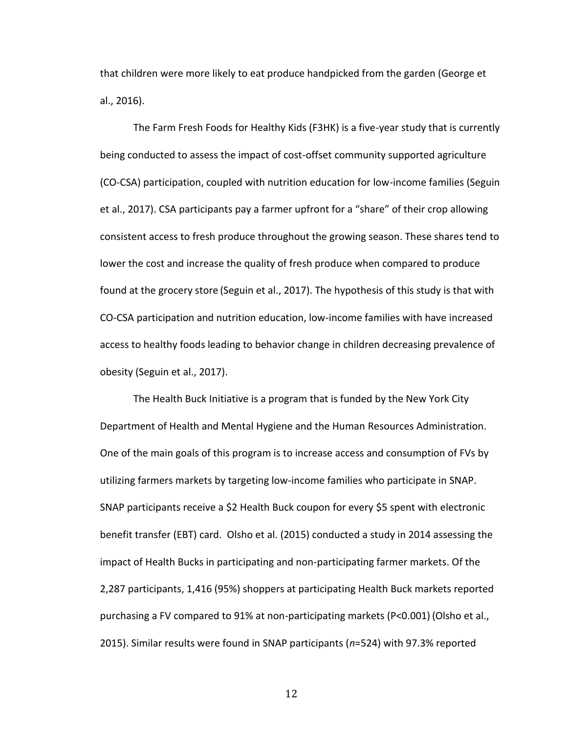that children were more likely to eat produce handpicked from the garden (George et al., 2016).

The Farm Fresh Foods for Healthy Kids (F3HK) is a five-year study that is currently being conducted to assess the impact of cost-offset community supported agriculture (CO-CSA) participation, coupled with nutrition education for low-income families (Seguin et al., 2017). CSA participants pay a farmer upfront for a "share" of their crop allowing consistent access to fresh produce throughout the growing season. These shares tend to lower the cost and increase the quality of fresh produce when compared to produce found at the grocery store (Seguin et al., 2017). The hypothesis of this study is that with CO-CSA participation and nutrition education, low-income families with have increased access to healthy foods leading to behavior change in children decreasing prevalence of obesity (Seguin et al., 2017).

The Health Buck Initiative is a program that is funded by the New York City Department of Health and Mental Hygiene and the Human Resources Administration. One of the main goals of this program is to increase access and consumption of FVs by utilizing farmers markets by targeting low-income families who participate in SNAP. SNAP participants receive a \$2 Health Buck coupon for every \$5 spent with electronic benefit transfer (EBT) card. Olsho et al. (2015) conducted a study in 2014 assessing the impact of Health Bucks in participating and non-participating farmer markets. Of the 2,287 participants, 1,416 (95%) shoppers at participating Health Buck markets reported purchasing a FV compared to 91% at non-participating markets (P<0.001) (Olsho et al., 2015). Similar results were found in SNAP participants (*n*=524) with 97.3% reported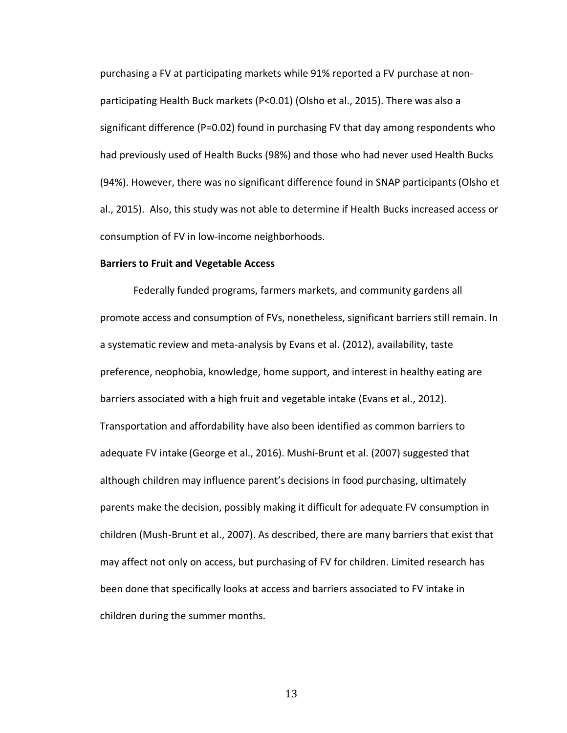purchasing a FV at participating markets while 91% reported a FV purchase at nonparticipating Health Buck markets (P<0.01) (Olsho et al., 2015). There was also a significant difference (P=0.02) found in purchasing FV that day among respondents who had previously used of Health Bucks (98%) and those who had never used Health Bucks (94%). However, there was no significant difference found in SNAP participants(Olsho et al., 2015). Also, this study was not able to determine if Health Bucks increased access or consumption of FV in low-income neighborhoods.

#### **Barriers to Fruit and Vegetable Access**

Federally funded programs, farmers markets, and community gardens all promote access and consumption of FVs, nonetheless, significant barriers still remain. In a systematic review and meta-analysis by Evans et al. (2012), availability, taste preference, neophobia, knowledge, home support, and interest in healthy eating are barriers associated with a high fruit and vegetable intake (Evans et al., 2012). Transportation and affordability have also been identified as common barriers to adequate FV intake (George et al., 2016). Mushi-Brunt et al. (2007) suggested that although children may influence parent's decisions in food purchasing, ultimately parents make the decision, possibly making it difficult for adequate FV consumption in children (Mush-Brunt et al., 2007). As described, there are many barriers that exist that may affect not only on access, but purchasing of FV for children. Limited research has been done that specifically looks at access and barriers associated to FV intake in children during the summer months.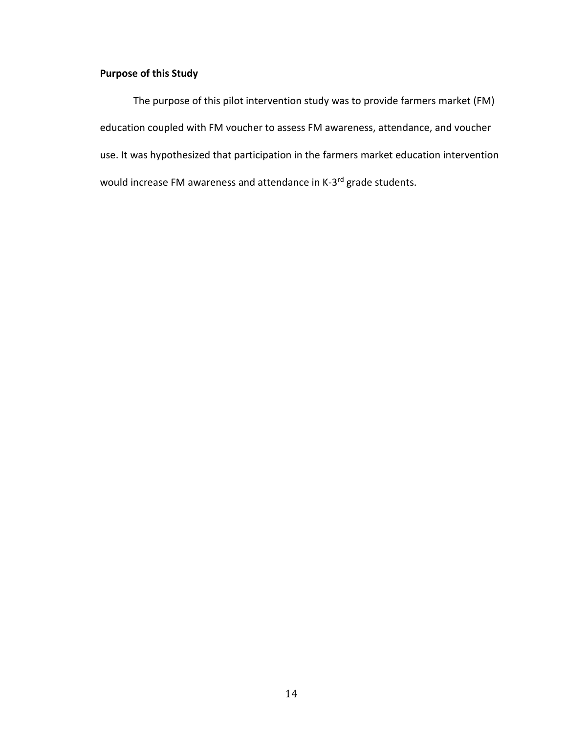# **Purpose of this Study**

The purpose of this pilot intervention study was to provide farmers market (FM) education coupled with FM voucher to assess FM awareness, attendance, and voucher use. It was hypothesized that participation in the farmers market education intervention would increase FM awareness and attendance in K-3<sup>rd</sup> grade students.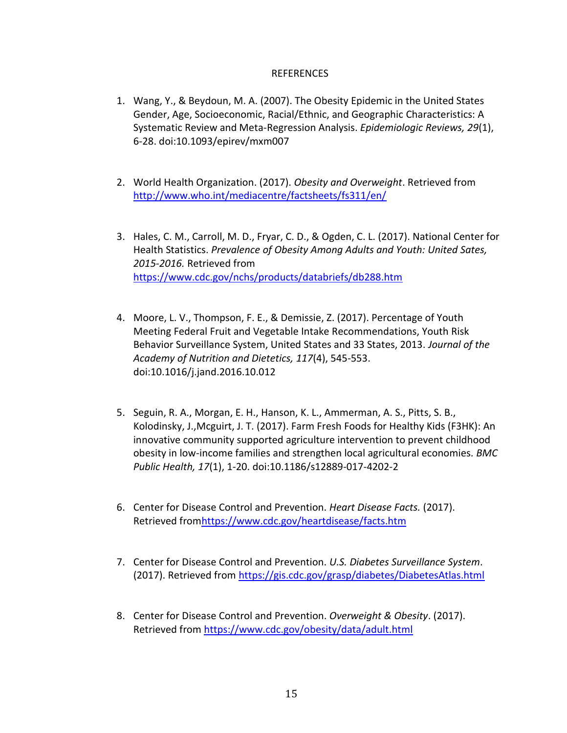# REFERENCES

- 1. Wang, Y., & Beydoun, M. A. (2007). The Obesity Epidemic in the United States Gender, Age, Socioeconomic, Racial/Ethnic, and Geographic Characteristics: A Systematic Review and Meta-Regression Analysis. *Epidemiologic Reviews, 29*(1), 6-28. doi:10.1093/epirev/mxm007
- 2. World Health Organization. (2017). *Obesity and Overweight*. Retrieved from <http://www.who.int/mediacentre/factsheets/fs311/en/>
- 3. Hales, C. M., Carroll, M. D., Fryar, C. D., & Ogden, C. L. (2017). National Center for Health Statistics. *Prevalence of Obesity Among Adults and Youth: United Sates, 2015-2016.* Retrieved from <https://www.cdc.gov/nchs/products/databriefs/db288.htm>
- 4. Moore, L. V., Thompson, F. E., & Demissie, Z. (2017). Percentage of Youth Meeting Federal Fruit and Vegetable Intake Recommendations, Youth Risk Behavior Surveillance System, United States and 33 States, 2013. *Journal of the Academy of Nutrition and Dietetics, 117*(4), 545-553. doi:10.1016/j.jand.2016.10.012
- 5. Seguin, R. A., Morgan, E. H., Hanson, K. L., Ammerman, A. S., Pitts, S. B., Kolodinsky, J.,Mcguirt, J. T. (2017). Farm Fresh Foods for Healthy Kids (F3HK): An innovative community supported agriculture intervention to prevent childhood obesity in low-income families and strengthen local agricultural economies. *BMC Public Health, 17*(1), 1-20. doi:10.1186/s12889-017-4202-2
- 6. Center for Disease Control and Prevention. *Heart Disease Facts.* (2017). Retrieved fro[mhttps://www.cdc.gov/heartdisease/facts.htm](https://www.cdc.gov/heartdisease/facts.htm)
- 7. Center for Disease Control and Prevention. *U.S. Diabetes Surveillance System*. (2017). Retrieved from<https://gis.cdc.gov/grasp/diabetes/DiabetesAtlas.html>
- 8. Center for Disease Control and Prevention. *Overweight & Obesity*. (2017). Retrieved from<https://www.cdc.gov/obesity/data/adult.html>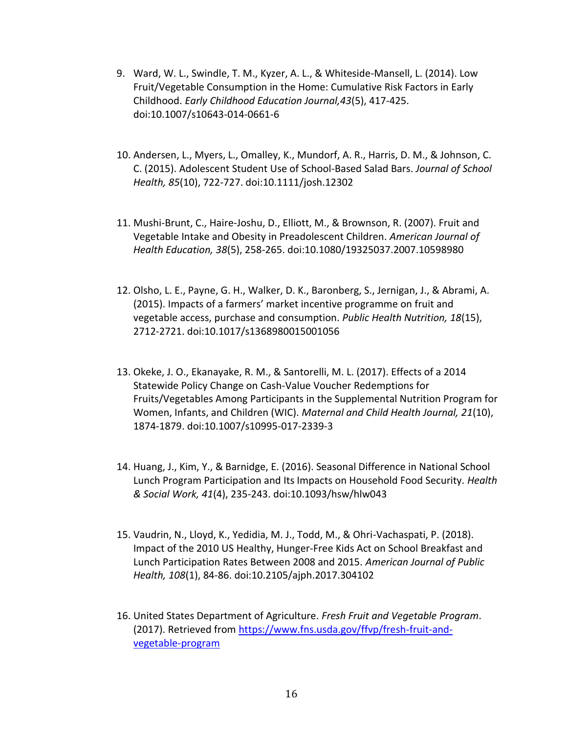- 9. Ward, W. L., Swindle, T. M., Kyzer, A. L., & Whiteside-Mansell, L. (2014). Low Fruit/Vegetable Consumption in the Home: Cumulative Risk Factors in Early Childhood. *Early Childhood Education Journal,43*(5), 417-425. doi:10.1007/s10643-014-0661-6
- 10. Andersen, L., Myers, L., Omalley, K., Mundorf, A. R., Harris, D. M., & Johnson, C. C. (2015). Adolescent Student Use of School-Based Salad Bars. *Journal of School Health, 85*(10), 722-727. doi:10.1111/josh.12302
- 11. Mushi-Brunt, C., Haire-Joshu, D., Elliott, M., & Brownson, R. (2007). Fruit and Vegetable Intake and Obesity in Preadolescent Children. *American Journal of Health Education, 38*(5), 258-265. doi:10.1080/19325037.2007.10598980
- 12. Olsho, L. E., Payne, G. H., Walker, D. K., Baronberg, S., Jernigan, J., & Abrami, A. (2015). Impacts of a farmers' market incentive programme on fruit and vegetable access, purchase and consumption. *Public Health Nutrition, 18*(15), 2712-2721. doi:10.1017/s1368980015001056
- 13. Okeke, J. O., Ekanayake, R. M., & Santorelli, M. L. (2017). Effects of a 2014 Statewide Policy Change on Cash-Value Voucher Redemptions for Fruits/Vegetables Among Participants in the Supplemental Nutrition Program for Women, Infants, and Children (WIC). *Maternal and Child Health Journal, 21*(10), 1874-1879. doi:10.1007/s10995-017-2339-3
- 14. Huang, J., Kim, Y., & Barnidge, E. (2016). Seasonal Difference in National School Lunch Program Participation and Its Impacts on Household Food Security*. Health & Social Work, 41*(4), 235-243. doi:10.1093/hsw/hlw043
- 15. Vaudrin, N., Lloyd, K., Yedidia, M. J., Todd, M., & Ohri-Vachaspati, P. (2018). Impact of the 2010 US Healthy, Hunger-Free Kids Act on School Breakfast and Lunch Participation Rates Between 2008 and 2015. *American Journal of Public Health, 108*(1), 84-86. doi:10.2105/ajph.2017.304102
- 16. United States Department of Agriculture. *Fresh Fruit and Vegetable Program*. (2017). Retrieved from [https://www.fns.usda.gov/ffvp/fresh-fruit-and](https://www.fns.usda.gov/ffvp/fresh-fruit-and-vegetable-program)[vegetable-program](https://www.fns.usda.gov/ffvp/fresh-fruit-and-vegetable-program)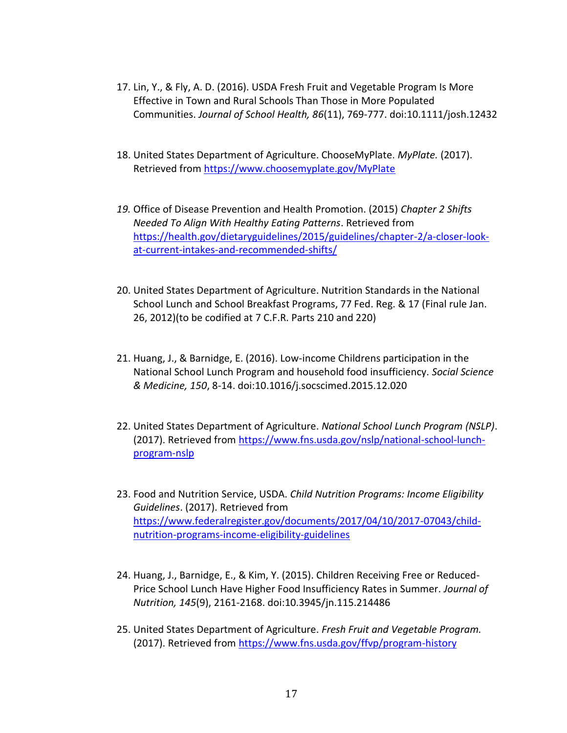- 17. Lin, Y., & Fly, A. D. (2016). USDA Fresh Fruit and Vegetable Program Is More Effective in Town and Rural Schools Than Those in More Populated Communities. *Journal of School Health, 86*(11), 769-777. doi:10.1111/josh.12432
- 18. United States Department of Agriculture. ChooseMyPlate. *MyPlate.* (2017). Retrieved from<https://www.choosemyplate.gov/MyPlate>
- *19.* Office of Disease Prevention and Health Promotion. (2015) *Chapter 2 Shifts Needed To Align With Healthy Eating Patterns*. Retrieved from [https://health.gov/dietaryguidelines/2015/guidelines/chapter-2/a-closer-look](https://health.gov/dietaryguidelines/2015/guidelines/chapter-2/a-closer-look-at-current-intakes-and-recommended-shifts/)[at-current-intakes-and-recommended-shifts/](https://health.gov/dietaryguidelines/2015/guidelines/chapter-2/a-closer-look-at-current-intakes-and-recommended-shifts/)
- 20. United States Department of Agriculture. Nutrition Standards in the National School Lunch and School Breakfast Programs, 77 Fed. Reg. & 17 (Final rule Jan. 26, 2012)(to be codified at 7 C.F.R. Parts 210 and 220)
- 21. Huang, J., & Barnidge, E. (2016). Low-income Childrens participation in the National School Lunch Program and household food insufficiency. *Social Science & Medicine, 150*, 8-14. doi:10.1016/j.socscimed.2015.12.020
- 22. United States Department of Agriculture. *National School Lunch Program (NSLP)*. (2017). Retrieved from [https://www.fns.usda.gov/nslp/national-school-lunch](https://www.fns.usda.gov/nslp/national-school-lunch-program-nslp)[program-nslp](https://www.fns.usda.gov/nslp/national-school-lunch-program-nslp)
- 23. Food and Nutrition Service, USDA. *Child Nutrition Programs: Income Eligibility Guidelines*. (2017). Retrieved from [https://www.federalregister.gov/documents/2017/04/10/2017-07043/child](https://www.federalregister.gov/documents/2017/04/10/2017-07043/child-nutrition-programs-income-eligibility-guidelines)[nutrition-programs-income-eligibility-guidelines](https://www.federalregister.gov/documents/2017/04/10/2017-07043/child-nutrition-programs-income-eligibility-guidelines)
- 24. Huang, J., Barnidge, E., & Kim, Y. (2015). Children Receiving Free or Reduced-Price School Lunch Have Higher Food Insufficiency Rates in Summer. *Journal of Nutrition, 145*(9), 2161-2168. doi:10.3945/jn.115.214486
- 25. United States Department of Agriculture. *Fresh Fruit and Vegetable Program.* (2017). Retrieved from<https://www.fns.usda.gov/ffvp/program-history>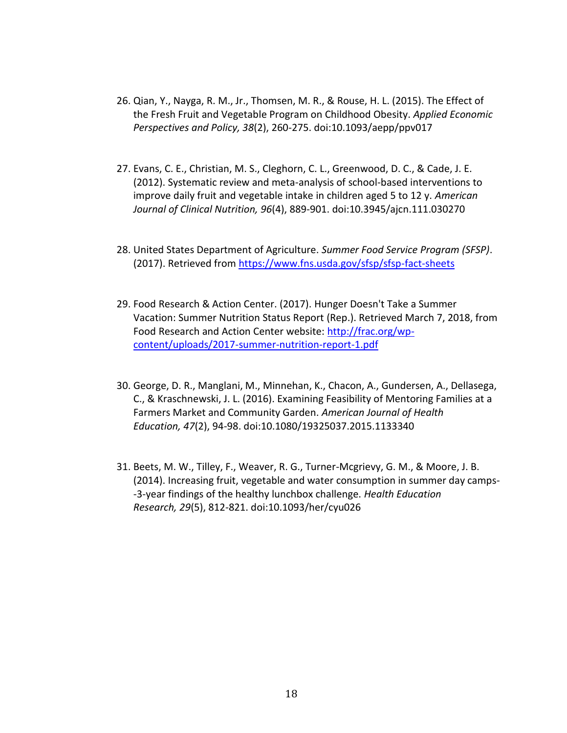- 26. Qian, Y., Nayga, R. M., Jr., Thomsen, M. R., & Rouse, H. L. (2015). The Effect of the Fresh Fruit and Vegetable Program on Childhood Obesity. *Applied Economic Perspectives and Policy, 38*(2), 260-275. doi:10.1093/aepp/ppv017
- 27. Evans, C. E., Christian, M. S., Cleghorn, C. L., Greenwood, D. C., & Cade, J. E. (2012). Systematic review and meta-analysis of school-based interventions to improve daily fruit and vegetable intake in children aged 5 to 12 y. *American Journal of Clinical Nutrition, 96*(4), 889-901. doi:10.3945/ajcn.111.030270
- 28. United States Department of Agriculture. *Summer Food Service Program (SFSP)*. (2017). Retrieved from<https://www.fns.usda.gov/sfsp/sfsp-fact-sheets>
- 29. Food Research & Action Center. (2017). Hunger Doesn't Take a Summer Vacation: Summer Nutrition Status Report (Rep.). Retrieved March 7, 2018, from Food Research and Action Center website: [http://frac.org/wp](http://frac.org/wp-content/uploads/2017-summer-nutrition-report-1.pdf)[content/uploads/2017-summer-nutrition-report-1.pdf](http://frac.org/wp-content/uploads/2017-summer-nutrition-report-1.pdf)
- 30. George, D. R., Manglani, M., Minnehan, K., Chacon, A., Gundersen, A., Dellasega, C., & Kraschnewski, J. L. (2016). Examining Feasibility of Mentoring Families at a Farmers Market and Community Garden. *American Journal of Health Education, 47*(2), 94-98. doi:10.1080/19325037.2015.1133340
- 31. Beets, M. W., Tilley, F., Weaver, R. G., Turner-Mcgrievy, G. M., & Moore, J. B. (2014). Increasing fruit, vegetable and water consumption in summer day camps- -3-year findings of the healthy lunchbox challenge. *Health Education Research, 29*(5), 812-821. doi:10.1093/her/cyu026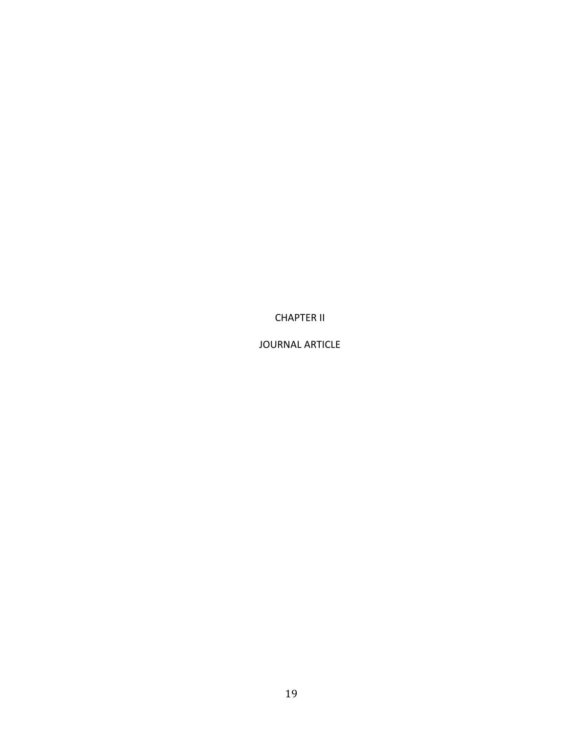CHAPTER II

JOURNAL ARTICLE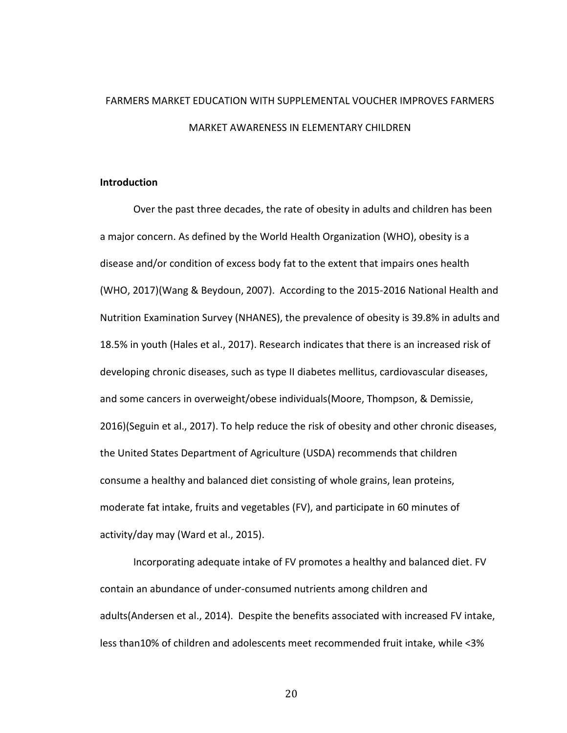# FARMERS MARKET EDUCATION WITH SUPPLEMENTAL VOUCHER IMPROVES FARMERS MARKET AWARENESS IN ELEMENTARY CHILDREN

# **Introduction**

Over the past three decades, the rate of obesity in adults and children has been a major concern. As defined by the World Health Organization (WHO), obesity is a disease and/or condition of excess body fat to the extent that impairs ones health (WHO, 2017)(Wang & Beydoun, 2007). According to the 2015-2016 National Health and Nutrition Examination Survey (NHANES), the prevalence of obesity is 39.8% in adults and 18.5% in youth (Hales et al., 2017). Research indicates that there is an increased risk of developing chronic diseases, such as type II diabetes mellitus, cardiovascular diseases, and some cancers in overweight/obese individuals(Moore, Thompson, & Demissie, 2016)(Seguin et al., 2017). To help reduce the risk of obesity and other chronic diseases, the United States Department of Agriculture (USDA) recommends that children consume a healthy and balanced diet consisting of whole grains, lean proteins, moderate fat intake, fruits and vegetables (FV), and participate in 60 minutes of activity/day may (Ward et al., 2015).

Incorporating adequate intake of FV promotes a healthy and balanced diet. FV contain an abundance of under-consumed nutrients among children and adults(Andersen et al., 2014). Despite the benefits associated with increased FV intake, less than10% of children and adolescents meet recommended fruit intake, while <3%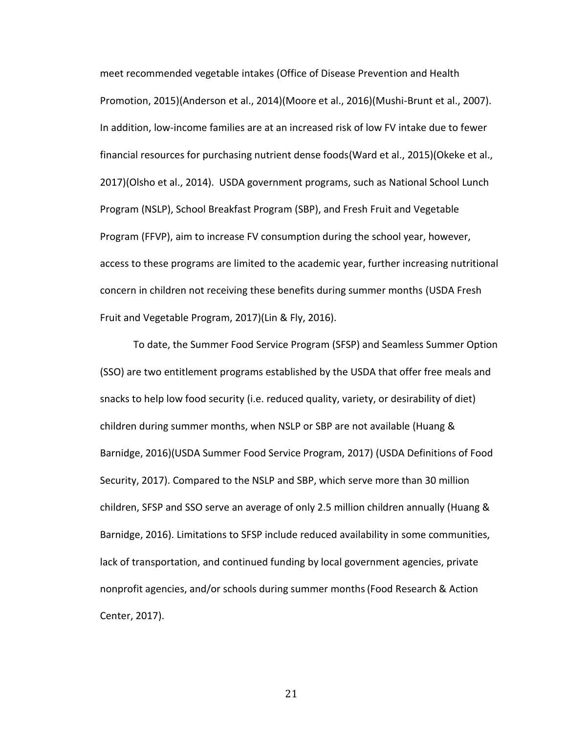meet recommended vegetable intakes (Office of Disease Prevention and Health Promotion, 2015)(Anderson et al., 2014)(Moore et al., 2016)(Mushi-Brunt et al., 2007). In addition, low-income families are at an increased risk of low FV intake due to fewer financial resources for purchasing nutrient dense foods(Ward et al., 2015)(Okeke et al., 2017)(Olsho et al., 2014). USDA government programs, such as National School Lunch Program (NSLP), School Breakfast Program (SBP), and Fresh Fruit and Vegetable Program (FFVP), aim to increase FV consumption during the school year, however, access to these programs are limited to the academic year, further increasing nutritional concern in children not receiving these benefits during summer months (USDA Fresh Fruit and Vegetable Program, 2017)(Lin & Fly, 2016).

To date, the Summer Food Service Program (SFSP) and Seamless Summer Option (SSO) are two entitlement programs established by the USDA that offer free meals and snacks to help low food security (i.e. reduced quality, variety, or desirability of diet) children during summer months, when NSLP or SBP are not available (Huang & Barnidge, 2016)(USDA Summer Food Service Program, 2017) (USDA Definitions of Food Security, 2017). Compared to the NSLP and SBP, which serve more than 30 million children, SFSP and SSO serve an average of only 2.5 million children annually (Huang & Barnidge, 2016). Limitations to SFSP include reduced availability in some communities, lack of transportation, and continued funding by local government agencies, private nonprofit agencies, and/or schools during summer months(Food Research & Action Center, 2017).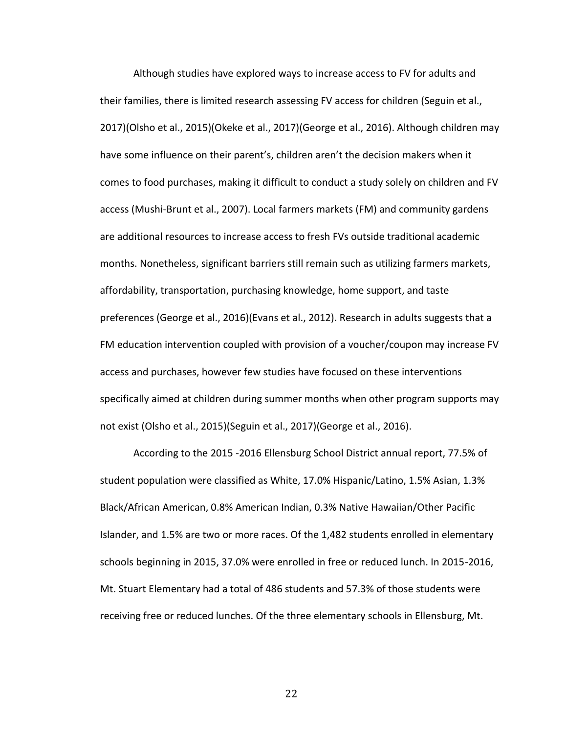Although studies have explored ways to increase access to FV for adults and their families, there is limited research assessing FV access for children (Seguin et al., 2017)(Olsho et al., 2015)(Okeke et al., 2017)(George et al., 2016). Although children may have some influence on their parent's, children aren't the decision makers when it comes to food purchases, making it difficult to conduct a study solely on children and FV access (Mushi-Brunt et al., 2007). Local farmers markets (FM) and community gardens are additional resources to increase access to fresh FVs outside traditional academic months. Nonetheless, significant barriers still remain such as utilizing farmers markets, affordability, transportation, purchasing knowledge, home support, and taste preferences (George et al., 2016)(Evans et al., 2012). Research in adults suggests that a FM education intervention coupled with provision of a voucher/coupon may increase FV access and purchases, however few studies have focused on these interventions specifically aimed at children during summer months when other program supports may not exist (Olsho et al., 2015)(Seguin et al., 2017)(George et al., 2016).

According to the 2015 -2016 Ellensburg School District annual report, 77.5% of student population were classified as White, 17.0% Hispanic/Latino, 1.5% Asian, 1.3% Black/African American, 0.8% American Indian, 0.3% Native Hawaiian/Other Pacific Islander, and 1.5% are two or more races. Of the 1,482 students enrolled in elementary schools beginning in 2015, 37.0% were enrolled in free or reduced lunch. In 2015-2016, Mt. Stuart Elementary had a total of 486 students and 57.3% of those students were receiving free or reduced lunches. Of the three elementary schools in Ellensburg, Mt.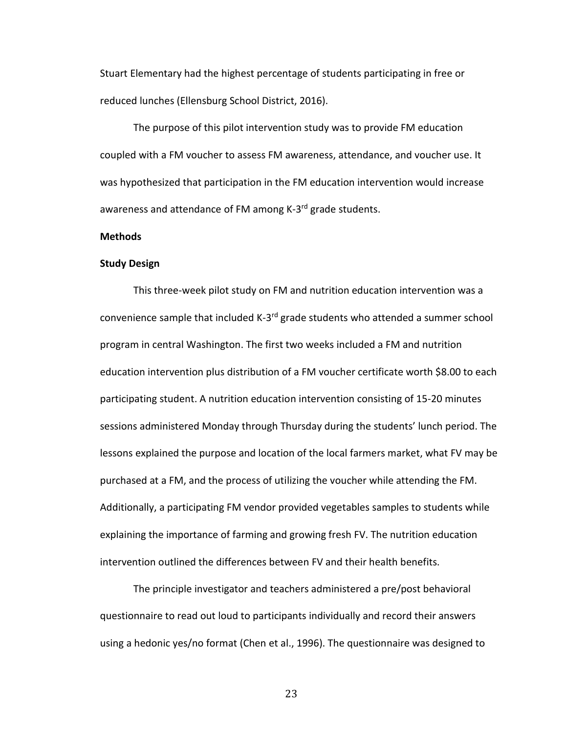Stuart Elementary had the highest percentage of students participating in free or reduced lunches (Ellensburg School District, 2016).

The purpose of this pilot intervention study was to provide FM education coupled with a FM voucher to assess FM awareness, attendance, and voucher use. It was hypothesized that participation in the FM education intervention would increase awareness and attendance of FM among K-3<sup>rd</sup> grade students.

#### **Methods**

#### **Study Design**

This three-week pilot study on FM and nutrition education intervention was a convenience sample that included K-3<sup>rd</sup> grade students who attended a summer school program in central Washington. The first two weeks included a FM and nutrition education intervention plus distribution of a FM voucher certificate worth \$8.00 to each participating student. A nutrition education intervention consisting of 15-20 minutes sessions administered Monday through Thursday during the students' lunch period. The lessons explained the purpose and location of the local farmers market, what FV may be purchased at a FM, and the process of utilizing the voucher while attending the FM. Additionally, a participating FM vendor provided vegetables samples to students while explaining the importance of farming and growing fresh FV. The nutrition education intervention outlined the differences between FV and their health benefits.

The principle investigator and teachers administered a pre/post behavioral questionnaire to read out loud to participants individually and record their answers using a hedonic yes/no format (Chen et al., 1996). The questionnaire was designed to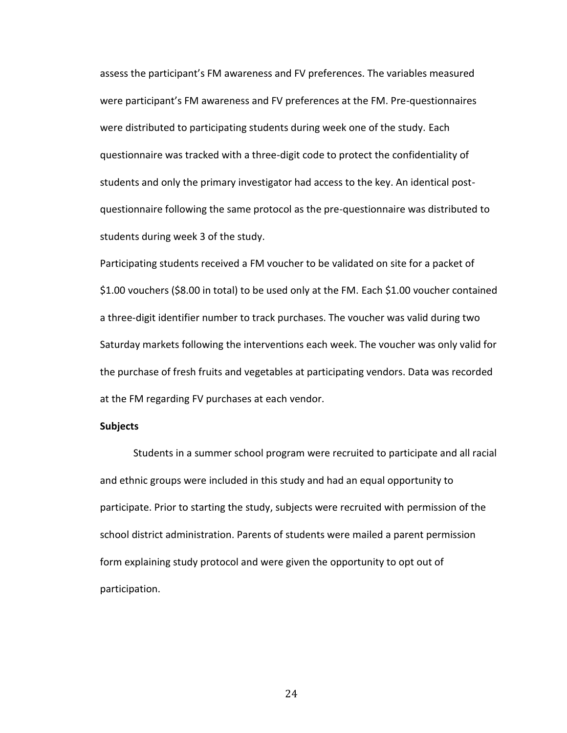assess the participant's FM awareness and FV preferences. The variables measured were participant's FM awareness and FV preferences at the FM. Pre-questionnaires were distributed to participating students during week one of the study. Each questionnaire was tracked with a three-digit code to protect the confidentiality of students and only the primary investigator had access to the key. An identical postquestionnaire following the same protocol as the pre-questionnaire was distributed to students during week 3 of the study.

Participating students received a FM voucher to be validated on site for a packet of \$1.00 vouchers (\$8.00 in total) to be used only at the FM. Each \$1.00 voucher contained a three-digit identifier number to track purchases. The voucher was valid during two Saturday markets following the interventions each week. The voucher was only valid for the purchase of fresh fruits and vegetables at participating vendors. Data was recorded at the FM regarding FV purchases at each vendor.

## **Subjects**

Students in a summer school program were recruited to participate and all racial and ethnic groups were included in this study and had an equal opportunity to participate. Prior to starting the study, subjects were recruited with permission of the school district administration. Parents of students were mailed a parent permission form explaining study protocol and were given the opportunity to opt out of participation.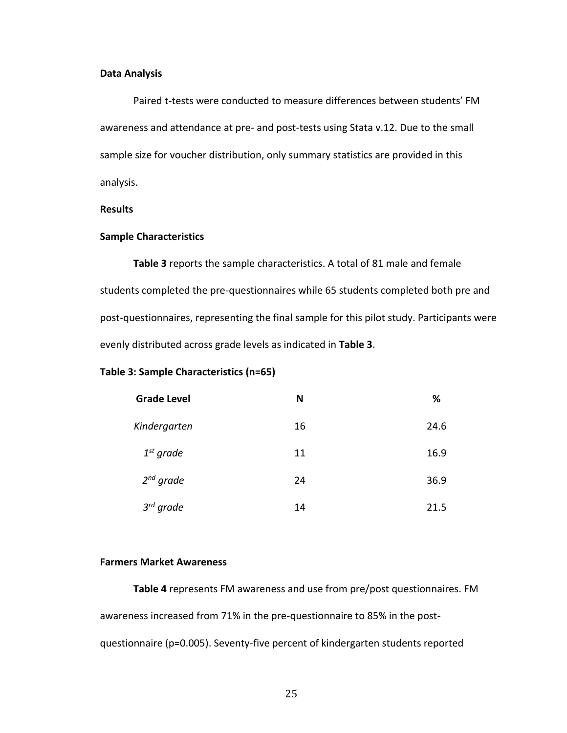# **Data Analysis**

Paired t-tests were conducted to measure differences between students' FM awareness and attendance at pre- and post-tests using Stata v.12. Due to the small sample size for voucher distribution, only summary statistics are provided in this analysis.

# **Results**

### **Sample Characteristics**

**Table 3** reports the sample characteristics. A total of 81 male and female students completed the pre-questionnaires while 65 students completed both pre and post-questionnaires, representing the final sample for this pilot study. Participants were evenly distributed across grade levels as indicated in **Table 3**.

# **Table 3: Sample Characteristics (n=65)**

| <b>Grade Level</b> | N  | %    |
|--------------------|----|------|
| Kindergarten       | 16 | 24.6 |
| $1st$ grade        | 11 | 16.9 |
| $2^{nd}$ grade     | 24 | 36.9 |
| $3^{rd}$ grade     | 14 | 21.5 |

## **Farmers Market Awareness**

**Table 4** represents FM awareness and use from pre/post questionnaires. FM awareness increased from 71% in the pre-questionnaire to 85% in the postquestionnaire (p=0.005). Seventy-five percent of kindergarten students reported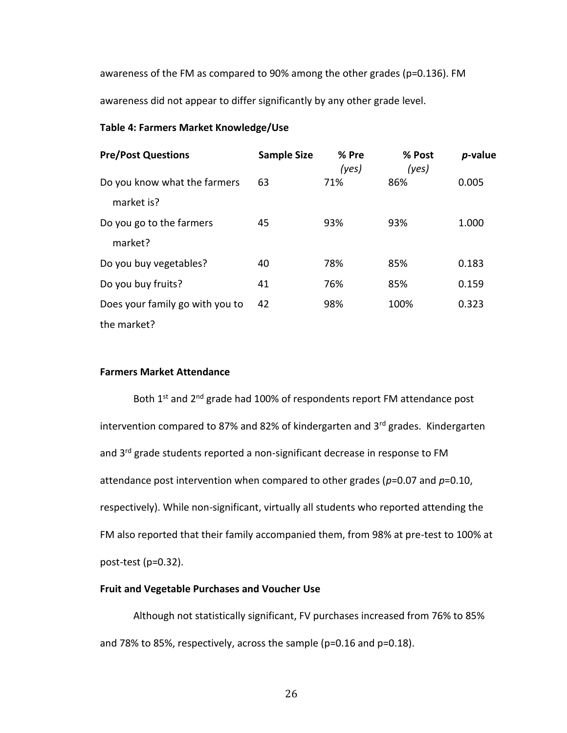awareness of the FM as compared to 90% among the other grades (p=0.136). FM awareness did not appear to differ significantly by any other grade level.

# **Table 4: Farmers Market Knowledge/Use**

| <b>Pre/Post Questions</b>       | <b>Sample Size</b> | % Pre<br>(yes) | % Post<br>(yes) | p-value |
|---------------------------------|--------------------|----------------|-----------------|---------|
| Do you know what the farmers    | 63                 | 71%            | 86%             | 0.005   |
| market is?                      |                    |                |                 |         |
| Do you go to the farmers        | 45                 | 93%            | 93%             | 1.000   |
| market?                         |                    |                |                 |         |
| Do you buy vegetables?          | 40                 | 78%            | 85%             | 0.183   |
| Do you buy fruits?              | 41                 | 76%            | 85%             | 0.159   |
| Does your family go with you to | 42                 | 98%            | 100%            | 0.323   |
| the market?                     |                    |                |                 |         |

# **Farmers Market Attendance**

Both 1<sup>st</sup> and 2<sup>nd</sup> grade had 100% of respondents report FM attendance post intervention compared to 87% and 82% of kindergarten and 3rd grades. Kindergarten and 3<sup>rd</sup> grade students reported a non-significant decrease in response to FM attendance post intervention when compared to other grades (*p*=0.07 and *p*=0.10, respectively). While non-significant, virtually all students who reported attending the FM also reported that their family accompanied them, from 98% at pre-test to 100% at post-test (p=0.32).

# **Fruit and Vegetable Purchases and Voucher Use**

Although not statistically significant, FV purchases increased from 76% to 85% and 78% to 85%, respectively, across the sample (p=0.16 and p=0.18).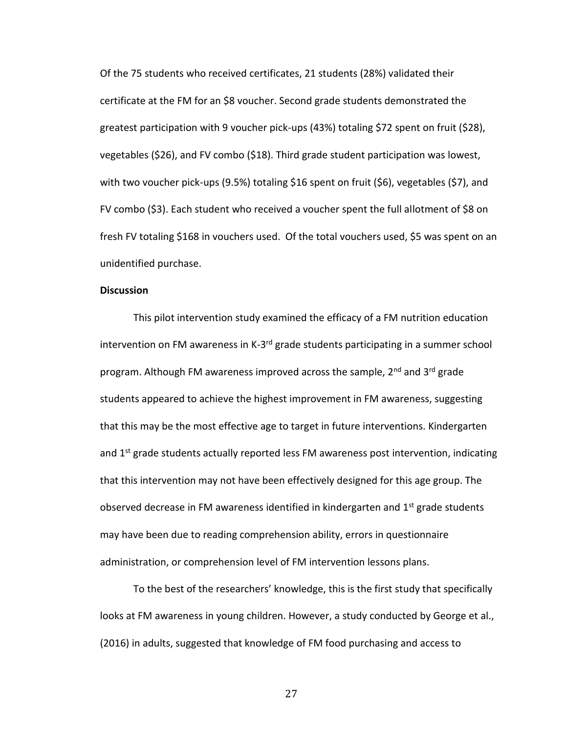Of the 75 students who received certificates, 21 students (28%) validated their certificate at the FM for an \$8 voucher. Second grade students demonstrated the greatest participation with 9 voucher pick-ups (43%) totaling \$72 spent on fruit (\$28), vegetables (\$26), and FV combo (\$18). Third grade student participation was lowest, with two voucher pick-ups (9.5%) totaling \$16 spent on fruit (\$6), vegetables (\$7), and FV combo (\$3). Each student who received a voucher spent the full allotment of \$8 on fresh FV totaling \$168 in vouchers used. Of the total vouchers used, \$5 was spent on an unidentified purchase.

# **Discussion**

This pilot intervention study examined the efficacy of a FM nutrition education intervention on FM awareness in K-3<sup>rd</sup> grade students participating in a summer school program. Although FM awareness improved across the sample, 2<sup>nd</sup> and 3<sup>rd</sup> grade students appeared to achieve the highest improvement in FM awareness, suggesting that this may be the most effective age to target in future interventions. Kindergarten and 1<sup>st</sup> grade students actually reported less FM awareness post intervention, indicating that this intervention may not have been effectively designed for this age group. The observed decrease in FM awareness identified in kindergarten and  $1<sup>st</sup>$  grade students may have been due to reading comprehension ability, errors in questionnaire administration, or comprehension level of FM intervention lessons plans.

To the best of the researchers' knowledge, this is the first study that specifically looks at FM awareness in young children. However, a study conducted by George et al., (2016) in adults, suggested that knowledge of FM food purchasing and access to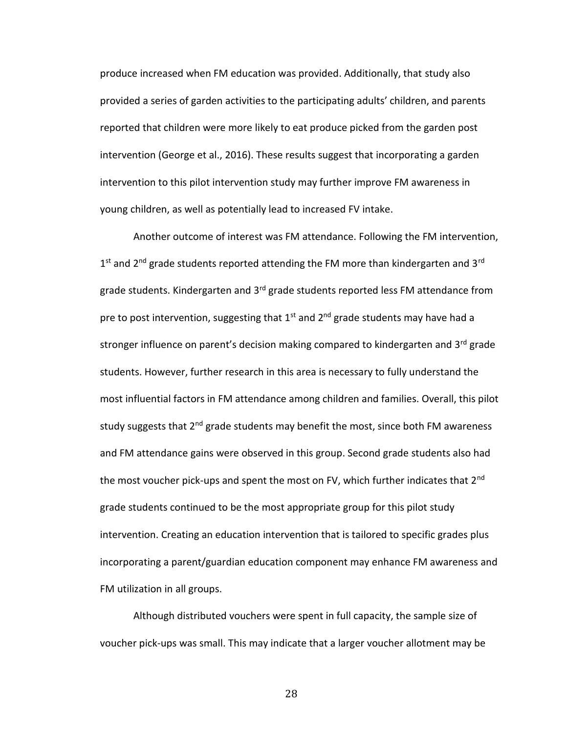produce increased when FM education was provided. Additionally, that study also provided a series of garden activities to the participating adults' children, and parents reported that children were more likely to eat produce picked from the garden post intervention (George et al., 2016). These results suggest that incorporating a garden intervention to this pilot intervention study may further improve FM awareness in young children, as well as potentially lead to increased FV intake.

Another outcome of interest was FM attendance. Following the FM intervention,  $1<sup>st</sup>$  and 2<sup>nd</sup> grade students reported attending the FM more than kindergarten and 3<sup>rd</sup> grade students. Kindergarten and 3<sup>rd</sup> grade students reported less FM attendance from pre to post intervention, suggesting that  $1<sup>st</sup>$  and  $2<sup>nd</sup>$  grade students may have had a stronger influence on parent's decision making compared to kindergarten and 3<sup>rd</sup> grade students. However, further research in this area is necessary to fully understand the most influential factors in FM attendance among children and families. Overall, this pilot study suggests that 2<sup>nd</sup> grade students may benefit the most, since both FM awareness and FM attendance gains were observed in this group. Second grade students also had the most voucher pick-ups and spent the most on FV, which further indicates that 2<sup>nd</sup> grade students continued to be the most appropriate group for this pilot study intervention. Creating an education intervention that is tailored to specific grades plus incorporating a parent/guardian education component may enhance FM awareness and FM utilization in all groups.

Although distributed vouchers were spent in full capacity, the sample size of voucher pick-ups was small. This may indicate that a larger voucher allotment may be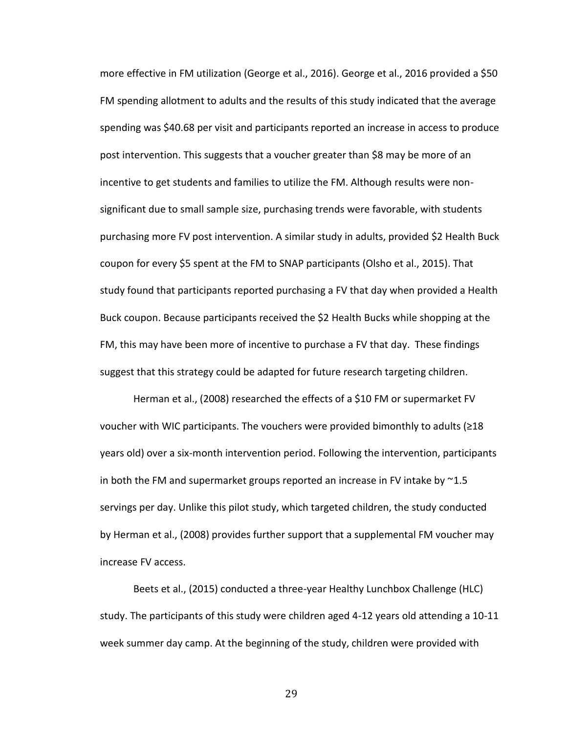more effective in FM utilization (George et al., 2016). George et al., 2016 provided a \$50 FM spending allotment to adults and the results of this study indicated that the average spending was \$40.68 per visit and participants reported an increase in access to produce post intervention. This suggests that a voucher greater than \$8 may be more of an incentive to get students and families to utilize the FM. Although results were nonsignificant due to small sample size, purchasing trends were favorable, with students purchasing more FV post intervention. A similar study in adults, provided \$2 Health Buck coupon for every \$5 spent at the FM to SNAP participants (Olsho et al., 2015). That study found that participants reported purchasing a FV that day when provided a Health Buck coupon. Because participants received the \$2 Health Bucks while shopping at the FM, this may have been more of incentive to purchase a FV that day. These findings suggest that this strategy could be adapted for future research targeting children.

Herman et al., (2008) researched the effects of a \$10 FM or supermarket FV voucher with WIC participants. The vouchers were provided bimonthly to adults (≥18 years old) over a six-month intervention period. Following the intervention, participants in both the FM and supermarket groups reported an increase in FV intake by ~1.5 servings per day. Unlike this pilot study, which targeted children, the study conducted by Herman et al., (2008) provides further support that a supplemental FM voucher may increase FV access.

Beets et al., (2015) conducted a three-year Healthy Lunchbox Challenge (HLC) study. The participants of this study were children aged 4-12 years old attending a 10-11 week summer day camp. At the beginning of the study, children were provided with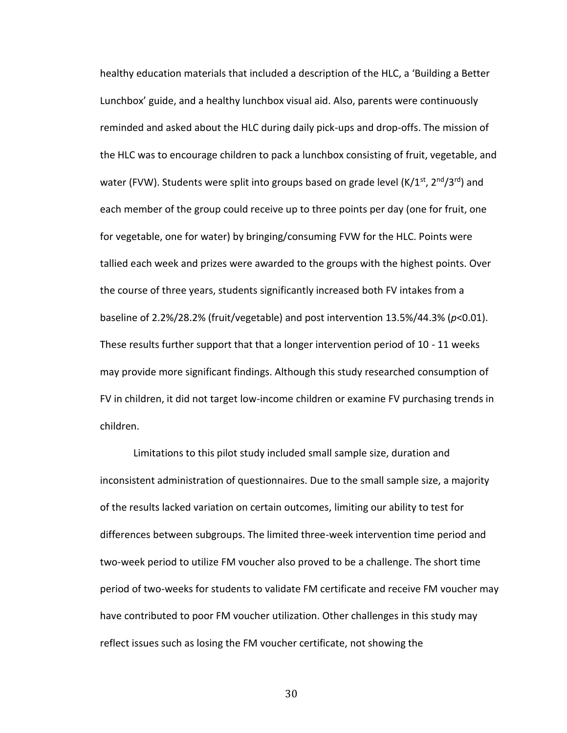healthy education materials that included a description of the HLC, a 'Building a Better Lunchbox' guide, and a healthy lunchbox visual aid. Also, parents were continuously reminded and asked about the HLC during daily pick-ups and drop-offs. The mission of the HLC was to encourage children to pack a lunchbox consisting of fruit, vegetable, and water (FVW). Students were split into groups based on grade level (K/1<sup>st</sup>, 2<sup>nd</sup>/3<sup>rd</sup>) and each member of the group could receive up to three points per day (one for fruit, one for vegetable, one for water) by bringing/consuming FVW for the HLC. Points were tallied each week and prizes were awarded to the groups with the highest points. Over the course of three years, students significantly increased both FV intakes from a baseline of 2.2%/28.2% (fruit/vegetable) and post intervention 13.5%/44.3% (*p*<0.01). These results further support that that a longer intervention period of 10 - 11 weeks may provide more significant findings. Although this study researched consumption of FV in children, it did not target low-income children or examine FV purchasing trends in children.

Limitations to this pilot study included small sample size, duration and inconsistent administration of questionnaires. Due to the small sample size, a majority of the results lacked variation on certain outcomes, limiting our ability to test for differences between subgroups. The limited three-week intervention time period and two-week period to utilize FM voucher also proved to be a challenge. The short time period of two-weeks for students to validate FM certificate and receive FM voucher may have contributed to poor FM voucher utilization. Other challenges in this study may reflect issues such as losing the FM voucher certificate, not showing the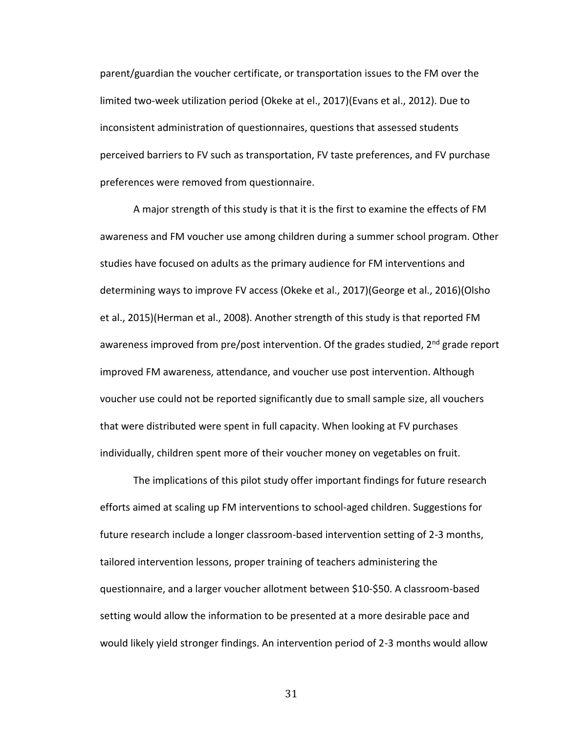parent/guardian the voucher certificate, or transportation issues to the FM over the limited two-week utilization period (Okeke at el., 2017)(Evans et al., 2012). Due to inconsistent administration of questionnaires, questions that assessed students perceived barriers to FV such as transportation, FV taste preferences, and FV purchase preferences were removed from questionnaire.

A major strength of this study is that it is the first to examine the effects of FM awareness and FM voucher use among children during a summer school program. Other studies have focused on adults as the primary audience for FM interventions and determining ways to improve FV access (Okeke et al., 2017)(George et al., 2016)(Olsho et al., 2015)(Herman et al., 2008). Another strength of this study is that reported FM awareness improved from pre/post intervention. Of the grades studied,  $2^{nd}$  grade report improved FM awareness, attendance, and voucher use post intervention. Although voucher use could not be reported significantly due to small sample size, all vouchers that were distributed were spent in full capacity. When looking at FV purchases individually, children spent more of their voucher money on vegetables on fruit.

The implications of this pilot study offer important findings for future research efforts aimed at scaling up FM interventions to school-aged children. Suggestions for future research include a longer classroom-based intervention setting of 2-3 months, tailored intervention lessons, proper training of teachers administering the questionnaire, and a larger voucher allotment between \$10-\$50. A classroom-based setting would allow the information to be presented at a more desirable pace and would likely yield stronger findings. An intervention period of 2-3 months would allow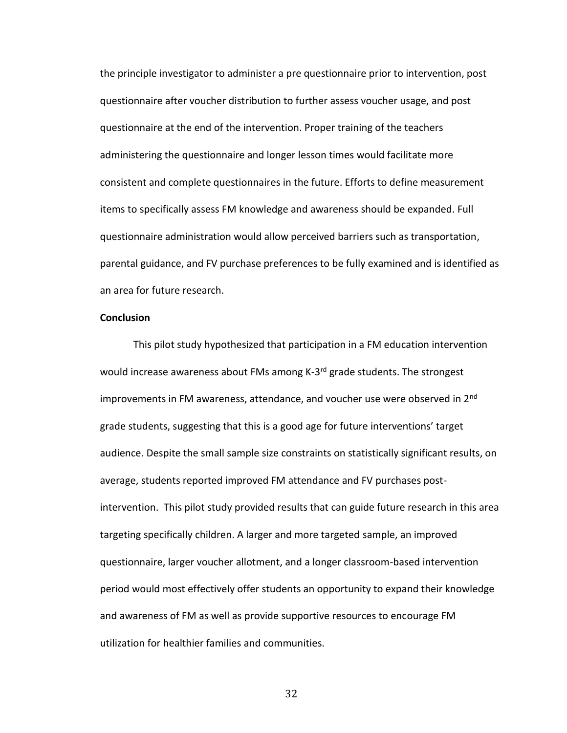the principle investigator to administer a pre questionnaire prior to intervention, post questionnaire after voucher distribution to further assess voucher usage, and post questionnaire at the end of the intervention. Proper training of the teachers administering the questionnaire and longer lesson times would facilitate more consistent and complete questionnaires in the future. Efforts to define measurement items to specifically assess FM knowledge and awareness should be expanded. Full questionnaire administration would allow perceived barriers such as transportation, parental guidance, and FV purchase preferences to be fully examined and is identified as an area for future research.

## **Conclusion**

This pilot study hypothesized that participation in a FM education intervention would increase awareness about FMs among K-3<sup>rd</sup> grade students. The strongest improvements in FM awareness, attendance, and voucher use were observed in 2<sup>nd</sup> grade students, suggesting that this is a good age for future interventions' target audience. Despite the small sample size constraints on statistically significant results, on average, students reported improved FM attendance and FV purchases postintervention. This pilot study provided results that can guide future research in this area targeting specifically children. A larger and more targeted sample, an improved questionnaire, larger voucher allotment, and a longer classroom-based intervention period would most effectively offer students an opportunity to expand their knowledge and awareness of FM as well as provide supportive resources to encourage FM utilization for healthier families and communities.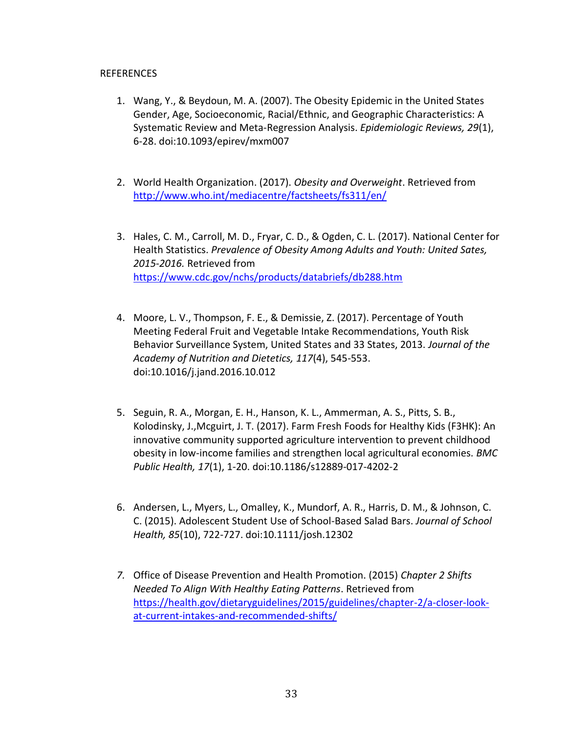# REFERENCES

- 1. Wang, Y., & Beydoun, M. A. (2007). The Obesity Epidemic in the United States Gender, Age, Socioeconomic, Racial/Ethnic, and Geographic Characteristics: A Systematic Review and Meta-Regression Analysis. *Epidemiologic Reviews, 29*(1), 6-28. doi:10.1093/epirev/mxm007
- 2. World Health Organization. (2017). *Obesity and Overweight*. Retrieved from <http://www.who.int/mediacentre/factsheets/fs311/en/>
- 3. Hales, C. M., Carroll, M. D., Fryar, C. D., & Ogden, C. L. (2017). National Center for Health Statistics. *Prevalence of Obesity Among Adults and Youth: United Sates, 2015-2016.* Retrieved from <https://www.cdc.gov/nchs/products/databriefs/db288.htm>
- 4. Moore, L. V., Thompson, F. E., & Demissie, Z. (2017). Percentage of Youth Meeting Federal Fruit and Vegetable Intake Recommendations, Youth Risk Behavior Surveillance System, United States and 33 States, 2013. *Journal of the Academy of Nutrition and Dietetics, 117*(4), 545-553. doi:10.1016/j.jand.2016.10.012
- 5. Seguin, R. A., Morgan, E. H., Hanson, K. L., Ammerman, A. S., Pitts, S. B., Kolodinsky, J.,Mcguirt, J. T. (2017). Farm Fresh Foods for Healthy Kids (F3HK): An innovative community supported agriculture intervention to prevent childhood obesity in low-income families and strengthen local agricultural economies. *BMC Public Health, 17*(1), 1-20. doi:10.1186/s12889-017-4202-2
- 6. Andersen, L., Myers, L., Omalley, K., Mundorf, A. R., Harris, D. M., & Johnson, C. C. (2015). Adolescent Student Use of School-Based Salad Bars. *Journal of School Health, 85*(10), 722-727. doi:10.1111/josh.12302
- *7.* Office of Disease Prevention and Health Promotion. (2015) *Chapter 2 Shifts Needed To Align With Healthy Eating Patterns*. Retrieved from [https://health.gov/dietaryguidelines/2015/guidelines/chapter-2/a-closer-look](https://health.gov/dietaryguidelines/2015/guidelines/chapter-2/a-closer-look-at-current-intakes-and-recommended-shifts/)[at-current-intakes-and-recommended-shifts/](https://health.gov/dietaryguidelines/2015/guidelines/chapter-2/a-closer-look-at-current-intakes-and-recommended-shifts/)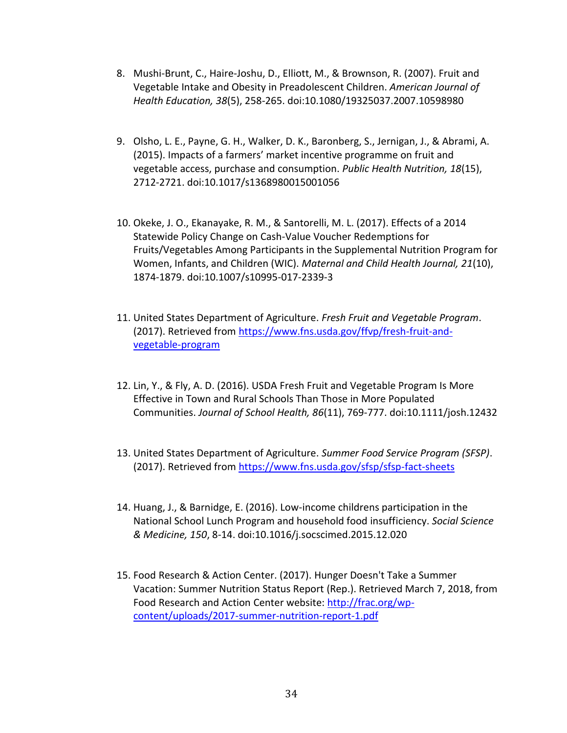- 8. Mushi-Brunt, C., Haire-Joshu, D., Elliott, M., & Brownson, R. (2007). Fruit and Vegetable Intake and Obesity in Preadolescent Children. *American Journal of Health Education, 38*(5), 258-265. doi:10.1080/19325037.2007.10598980
- 9. Olsho, L. E., Payne, G. H., Walker, D. K., Baronberg, S., Jernigan, J., & Abrami, A. (2015). Impacts of a farmers' market incentive programme on fruit and vegetable access, purchase and consumption. *Public Health Nutrition, 18*(15), 2712-2721. doi:10.1017/s1368980015001056
- 10. Okeke, J. O., Ekanayake, R. M., & Santorelli, M. L. (2017). Effects of a 2014 Statewide Policy Change on Cash-Value Voucher Redemptions for Fruits/Vegetables Among Participants in the Supplemental Nutrition Program for Women, Infants, and Children (WIC). *Maternal and Child Health Journal, 21*(10), 1874-1879. doi:10.1007/s10995-017-2339-3
- 11. United States Department of Agriculture. *Fresh Fruit and Vegetable Program*. (2017). Retrieved from [https://www.fns.usda.gov/ffvp/fresh-fruit-and](https://www.fns.usda.gov/ffvp/fresh-fruit-and-vegetable-program)[vegetable-program](https://www.fns.usda.gov/ffvp/fresh-fruit-and-vegetable-program)
- 12. Lin, Y., & Fly, A. D. (2016). USDA Fresh Fruit and Vegetable Program Is More Effective in Town and Rural Schools Than Those in More Populated Communities. *Journal of School Health, 86*(11), 769-777. doi:10.1111/josh.12432
- 13. United States Department of Agriculture. *Summer Food Service Program (SFSP)*. (2017). Retrieved from<https://www.fns.usda.gov/sfsp/sfsp-fact-sheets>
- 14. Huang, J., & Barnidge, E. (2016). Low-income childrens participation in the National School Lunch Program and household food insufficiency. *Social Science & Medicine, 150*, 8-14. doi:10.1016/j.socscimed.2015.12.020
- 15. Food Research & Action Center. (2017). Hunger Doesn't Take a Summer Vacation: Summer Nutrition Status Report (Rep.). Retrieved March 7, 2018, from Food Research and Action Center website: [http://frac.org/wp](http://frac.org/wp-content/uploads/2017-summer-nutrition-report-1.pdf)[content/uploads/2017-summer-nutrition-report-1.pdf](http://frac.org/wp-content/uploads/2017-summer-nutrition-report-1.pdf)